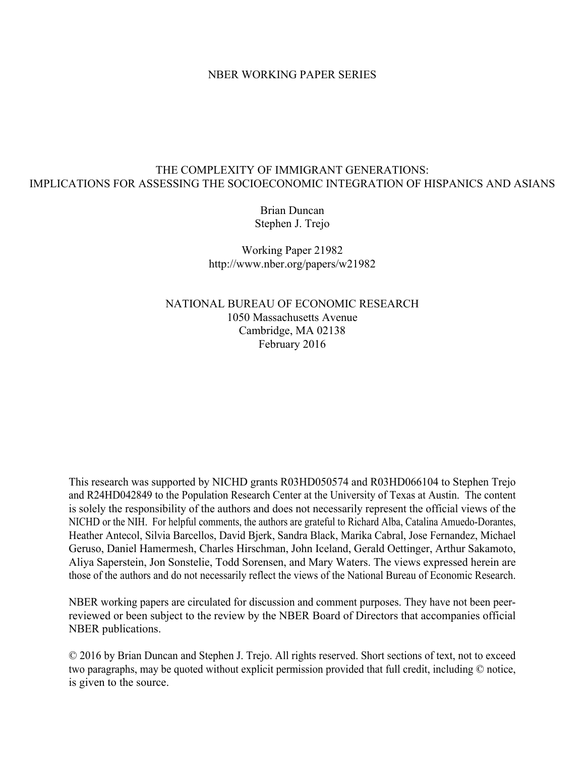### NBER WORKING PAPER SERIES

# THE COMPLEXITY OF IMMIGRANT GENERATIONS: IMPLICATIONS FOR ASSESSING THE SOCIOECONOMIC INTEGRATION OF HISPANICS AND ASIANS

Brian Duncan Stephen J. Trejo

Working Paper 21982 http://www.nber.org/papers/w21982

NATIONAL BUREAU OF ECONOMIC RESEARCH 1050 Massachusetts Avenue Cambridge, MA 02138 February 2016

This research was supported by NICHD grants R03HD050574 and R03HD066104 to Stephen Trejo and R24HD042849 to the Population Research Center at the University of Texas at Austin. The content is solely the responsibility of the authors and does not necessarily represent the official views of the NICHD or the NIH. For helpful comments, the authors are grateful to Richard Alba, Catalina Amuedo-Dorantes, Heather Antecol, Silvia Barcellos, David Bjerk, Sandra Black, Marika Cabral, Jose Fernandez, Michael Geruso, Daniel Hamermesh, Charles Hirschman, John Iceland, Gerald Oettinger, Arthur Sakamoto, Aliya Saperstein, Jon Sonstelie, Todd Sorensen, and Mary Waters. The views expressed herein are those of the authors and do not necessarily reflect the views of the National Bureau of Economic Research.

NBER working papers are circulated for discussion and comment purposes. They have not been peerreviewed or been subject to the review by the NBER Board of Directors that accompanies official NBER publications.

© 2016 by Brian Duncan and Stephen J. Trejo. All rights reserved. Short sections of text, not to exceed two paragraphs, may be quoted without explicit permission provided that full credit, including © notice, is given to the source.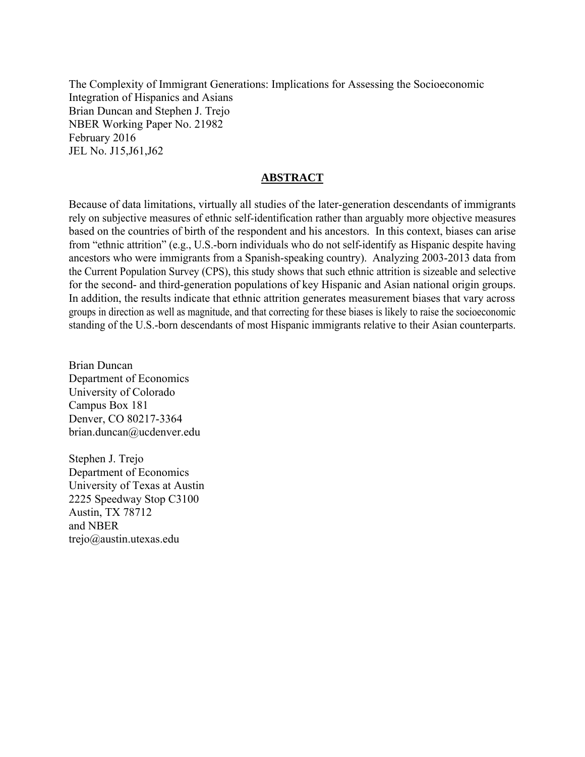The Complexity of Immigrant Generations: Implications for Assessing the Socioeconomic Integration of Hispanics and Asians Brian Duncan and Stephen J. Trejo NBER Working Paper No. 21982 February 2016 JEL No. J15,J61,J62

## **ABSTRACT**

Because of data limitations, virtually all studies of the later-generation descendants of immigrants rely on subjective measures of ethnic self-identification rather than arguably more objective measures based on the countries of birth of the respondent and his ancestors. In this context, biases can arise from "ethnic attrition" (e.g., U.S.-born individuals who do not self-identify as Hispanic despite having ancestors who were immigrants from a Spanish-speaking country). Analyzing 2003-2013 data from the Current Population Survey (CPS), this study shows that such ethnic attrition is sizeable and selective for the second- and third-generation populations of key Hispanic and Asian national origin groups. In addition, the results indicate that ethnic attrition generates measurement biases that vary across groups in direction as well as magnitude, and that correcting for these biases is likely to raise the socioeconomic standing of the U.S.-born descendants of most Hispanic immigrants relative to their Asian counterparts.

Brian Duncan Department of Economics University of Colorado Campus Box 181 Denver, CO 80217-3364 brian.duncan@ucdenver.edu

Stephen J. Trejo Department of Economics University of Texas at Austin 2225 Speedway Stop C3100 Austin, TX 78712 and NBER trejo@austin.utexas.edu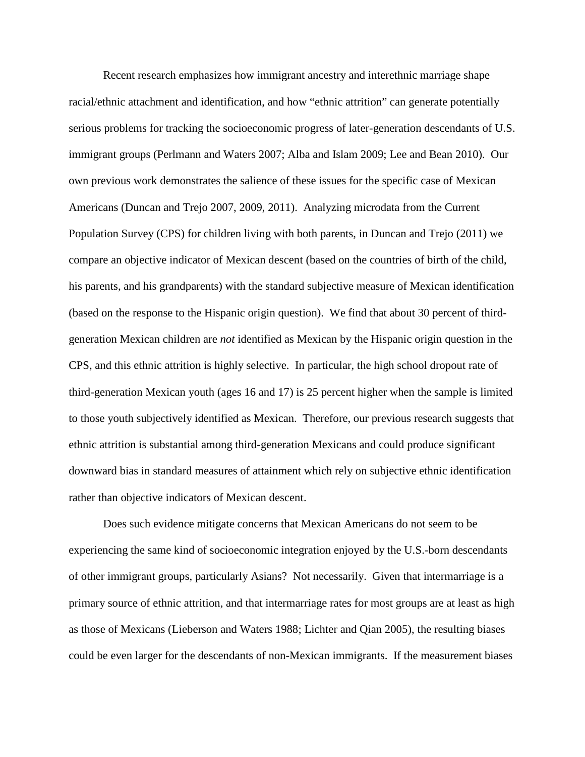Recent research emphasizes how immigrant ancestry and interethnic marriage shape racial/ethnic attachment and identification, and how "ethnic attrition" can generate potentially serious problems for tracking the socioeconomic progress of later-generation descendants of U.S. immigrant groups (Perlmann and Waters 2007; Alba and Islam 2009; Lee and Bean 2010). Our own previous work demonstrates the salience of these issues for the specific case of Mexican Americans (Duncan and Trejo 2007, 2009, 2011). Analyzing microdata from the Current Population Survey (CPS) for children living with both parents, in Duncan and Trejo (2011) we compare an objective indicator of Mexican descent (based on the countries of birth of the child, his parents, and his grandparents) with the standard subjective measure of Mexican identification (based on the response to the Hispanic origin question). We find that about 30 percent of thirdgeneration Mexican children are *not* identified as Mexican by the Hispanic origin question in the CPS, and this ethnic attrition is highly selective. In particular, the high school dropout rate of third-generation Mexican youth (ages 16 and 17) is 25 percent higher when the sample is limited to those youth subjectively identified as Mexican. Therefore, our previous research suggests that ethnic attrition is substantial among third-generation Mexicans and could produce significant downward bias in standard measures of attainment which rely on subjective ethnic identification rather than objective indicators of Mexican descent.

Does such evidence mitigate concerns that Mexican Americans do not seem to be experiencing the same kind of socioeconomic integration enjoyed by the U.S.-born descendants of other immigrant groups, particularly Asians? Not necessarily. Given that intermarriage is a primary source of ethnic attrition, and that intermarriage rates for most groups are at least as high as those of Mexicans (Lieberson and Waters 1988; Lichter and Qian 2005), the resulting biases could be even larger for the descendants of non-Mexican immigrants. If the measurement biases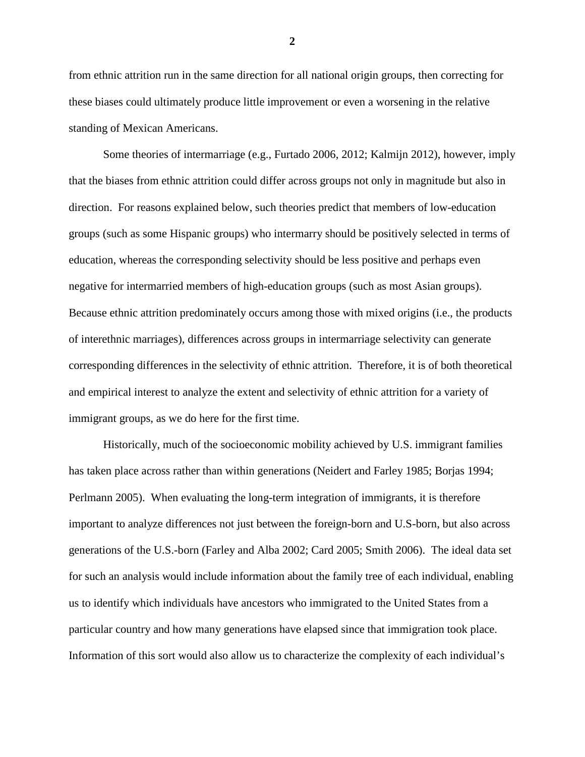from ethnic attrition run in the same direction for all national origin groups, then correcting for these biases could ultimately produce little improvement or even a worsening in the relative standing of Mexican Americans.

Some theories of intermarriage (e.g., Furtado 2006, 2012; Kalmijn 2012), however, imply that the biases from ethnic attrition could differ across groups not only in magnitude but also in direction. For reasons explained below, such theories predict that members of low-education groups (such as some Hispanic groups) who intermarry should be positively selected in terms of education, whereas the corresponding selectivity should be less positive and perhaps even negative for intermarried members of high-education groups (such as most Asian groups). Because ethnic attrition predominately occurs among those with mixed origins (i.e., the products of interethnic marriages), differences across groups in intermarriage selectivity can generate corresponding differences in the selectivity of ethnic attrition. Therefore, it is of both theoretical and empirical interest to analyze the extent and selectivity of ethnic attrition for a variety of immigrant groups, as we do here for the first time.

Historically, much of the socioeconomic mobility achieved by U.S. immigrant families has taken place across rather than within generations (Neidert and Farley 1985; Borjas 1994; Perlmann 2005). When evaluating the long-term integration of immigrants, it is therefore important to analyze differences not just between the foreign-born and U.S-born, but also across generations of the U.S.-born (Farley and Alba 2002; Card 2005; Smith 2006). The ideal data set for such an analysis would include information about the family tree of each individual, enabling us to identify which individuals have ancestors who immigrated to the United States from a particular country and how many generations have elapsed since that immigration took place. Information of this sort would also allow us to characterize the complexity of each individual's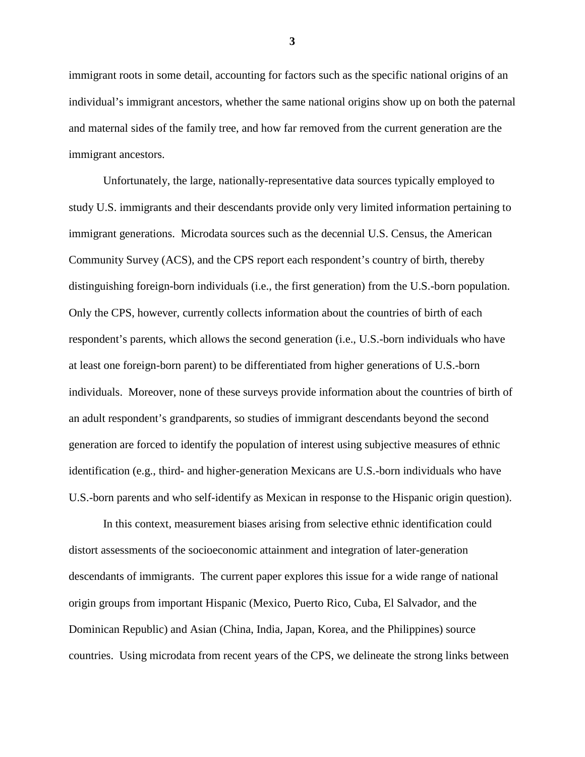immigrant roots in some detail, accounting for factors such as the specific national origins of an individual's immigrant ancestors, whether the same national origins show up on both the paternal and maternal sides of the family tree, and how far removed from the current generation are the immigrant ancestors.

 Unfortunately, the large, nationally-representative data sources typically employed to study U.S. immigrants and their descendants provide only very limited information pertaining to immigrant generations. Microdata sources such as the decennial U.S. Census, the American Community Survey (ACS), and the CPS report each respondent's country of birth, thereby distinguishing foreign-born individuals (i.e., the first generation) from the U.S.-born population. Only the CPS, however, currently collects information about the countries of birth of each respondent's parents, which allows the second generation (i.e., U.S.-born individuals who have at least one foreign-born parent) to be differentiated from higher generations of U.S.-born individuals. Moreover, none of these surveys provide information about the countries of birth of an adult respondent's grandparents, so studies of immigrant descendants beyond the second generation are forced to identify the population of interest using subjective measures of ethnic identification (e.g., third- and higher-generation Mexicans are U.S.-born individuals who have U.S.-born parents and who self-identify as Mexican in response to the Hispanic origin question).

 In this context, measurement biases arising from selective ethnic identification could distort assessments of the socioeconomic attainment and integration of later-generation descendants of immigrants. The current paper explores this issue for a wide range of national origin groups from important Hispanic (Mexico, Puerto Rico, Cuba, El Salvador, and the Dominican Republic) and Asian (China, India, Japan, Korea, and the Philippines) source countries. Using microdata from recent years of the CPS, we delineate the strong links between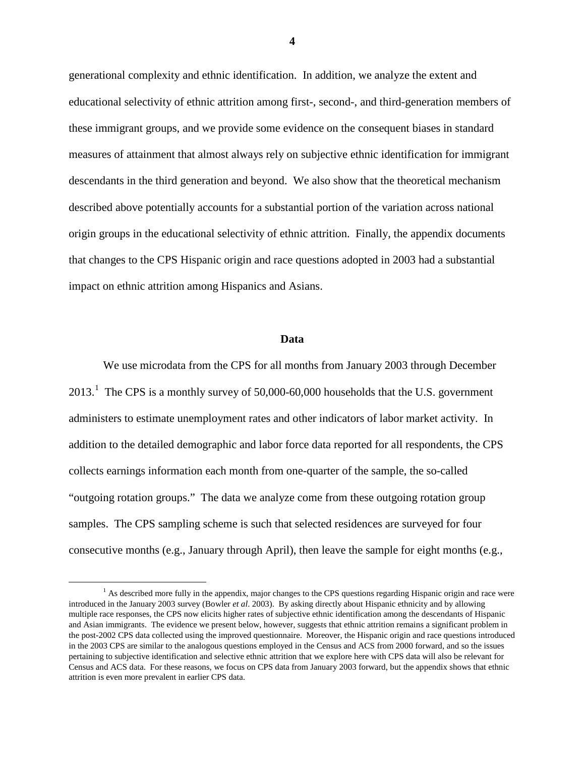generational complexity and ethnic identification. In addition, we analyze the extent and educational selectivity of ethnic attrition among first-, second-, and third-generation members of these immigrant groups, and we provide some evidence on the consequent biases in standard measures of attainment that almost always rely on subjective ethnic identification for immigrant descendants in the third generation and beyond. We also show that the theoretical mechanism described above potentially accounts for a substantial portion of the variation across national origin groups in the educational selectivity of ethnic attrition. Finally, the appendix documents that changes to the CPS Hispanic origin and race questions adopted in 2003 had a substantial impact on ethnic attrition among Hispanics and Asians.

### **Data**

We use microdata from the CPS for all months from January 2003 through December  $2013.<sup>1</sup>$  $2013.<sup>1</sup>$  $2013.<sup>1</sup>$  The CPS is a monthly survey of 50,000-60,000 households that the U.S. government administers to estimate unemployment rates and other indicators of labor market activity. In addition to the detailed demographic and labor force data reported for all respondents, the CPS collects earnings information each month from one-quarter of the sample, the so-called "outgoing rotation groups." The data we analyze come from these outgoing rotation group samples. The CPS sampling scheme is such that selected residences are surveyed for four consecutive months (e.g., January through April), then leave the sample for eight months (e.g.,

<span id="page-5-0"></span> $<sup>1</sup>$  As described more fully in the appendix, major changes to the CPS questions regarding Hispanic origin and race were</sup> introduced in the January 2003 survey (Bowler *et al*. 2003). By asking directly about Hispanic ethnicity and by allowing multiple race responses, the CPS now elicits higher rates of subjective ethnic identification among the descendants of Hispanic and Asian immigrants. The evidence we present below, however, suggests that ethnic attrition remains a significant problem in the post-2002 CPS data collected using the improved questionnaire. Moreover, the Hispanic origin and race questions introduced in the 2003 CPS are similar to the analogous questions employed in the Census and ACS from 2000 forward, and so the issues pertaining to subjective identification and selective ethnic attrition that we explore here with CPS data will also be relevant for Census and ACS data. For these reasons, we focus on CPS data from January 2003 forward, but the appendix shows that ethnic attrition is even more prevalent in earlier CPS data.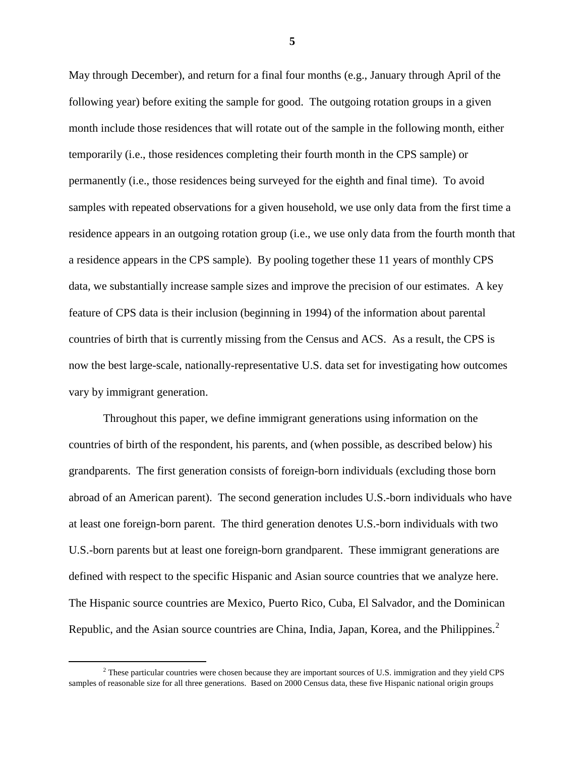May through December), and return for a final four months (e.g., January through April of the following year) before exiting the sample for good. The outgoing rotation groups in a given month include those residences that will rotate out of the sample in the following month, either temporarily (i.e., those residences completing their fourth month in the CPS sample) or permanently (i.e., those residences being surveyed for the eighth and final time). To avoid samples with repeated observations for a given household, we use only data from the first time a residence appears in an outgoing rotation group (i.e., we use only data from the fourth month that a residence appears in the CPS sample). By pooling together these 11 years of monthly CPS data, we substantially increase sample sizes and improve the precision of our estimates. A key feature of CPS data is their inclusion (beginning in 1994) of the information about parental countries of birth that is currently missing from the Census and ACS. As a result, the CPS is now the best large-scale, nationally-representative U.S. data set for investigating how outcomes vary by immigrant generation.

 Throughout this paper, we define immigrant generations using information on the countries of birth of the respondent, his parents, and (when possible, as described below) his grandparents. The first generation consists of foreign-born individuals (excluding those born abroad of an American parent). The second generation includes U.S.-born individuals who have at least one foreign-born parent. The third generation denotes U.S.-born individuals with two U.S.-born parents but at least one foreign-born grandparent. These immigrant generations are defined with respect to the specific Hispanic and Asian source countries that we analyze here. The Hispanic source countries are Mexico, Puerto Rico, Cuba, El Salvador, and the Dominican Republic, and the Asian source countries are China, India, Japan, Korea, and the Philippines. $2$ 

<span id="page-6-0"></span><sup>&</sup>lt;sup>2</sup> These particular countries were chosen because they are important sources of U.S. immigration and they yield CPS samples of reasonable size for all three generations. Based on 2000 Census data, these five Hispanic national origin groups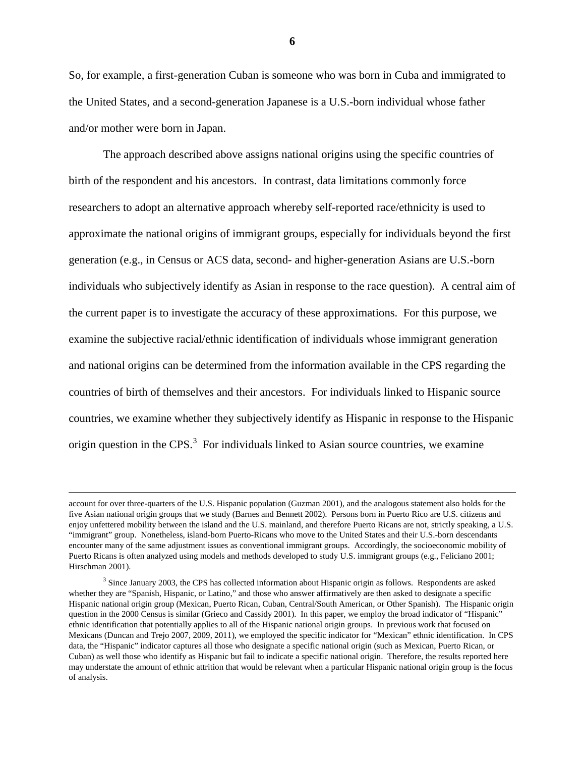So, for example, a first-generation Cuban is someone who was born in Cuba and immigrated to the United States, and a second-generation Japanese is a U.S.-born individual whose father and/or mother were born in Japan.

 The approach described above assigns national origins using the specific countries of birth of the respondent and his ancestors. In contrast, data limitations commonly force researchers to adopt an alternative approach whereby self-reported race/ethnicity is used to approximate the national origins of immigrant groups, especially for individuals beyond the first generation (e.g., in Census or ACS data, second- and higher-generation Asians are U.S.-born individuals who subjectively identify as Asian in response to the race question). A central aim of the current paper is to investigate the accuracy of these approximations. For this purpose, we examine the subjective racial/ethnic identification of individuals whose immigrant generation and national origins can be determined from the information available in the CPS regarding the countries of birth of themselves and their ancestors. For individuals linked to Hispanic source countries, we examine whether they subjectively identify as Hispanic in response to the Hispanic origin question in the CPS. $3$  For individuals linked to Asian source countries, we examine

account for over three-quarters of the U.S. Hispanic population (Guzman 2001), and the analogous statement also holds for the five Asian national origin groups that we study (Barnes and Bennett 2002). Persons born in Puerto Rico are U.S. citizens and enjoy unfettered mobility between the island and the U.S. mainland, and therefore Puerto Ricans are not, strictly speaking, a U.S. "immigrant" group. Nonetheless, island-born Puerto-Ricans who move to the United States and their U.S.-born descendants encounter many of the same adjustment issues as conventional immigrant groups. Accordingly, the socioeconomic mobility of Puerto Ricans is often analyzed using models and methods developed to study U.S. immigrant groups (e.g., Feliciano 2001; Hirschman 2001).

<span id="page-7-0"></span><sup>&</sup>lt;sup>3</sup> Since January 2003, the CPS has collected information about Hispanic origin as follows. Respondents are asked whether they are "Spanish, Hispanic, or Latino," and those who answer affirmatively are then asked to designate a specific Hispanic national origin group (Mexican, Puerto Rican, Cuban, Central/South American, or Other Spanish). The Hispanic origin question in the 2000 Census is similar (Grieco and Cassidy 2001). In this paper, we employ the broad indicator of "Hispanic" ethnic identification that potentially applies to all of the Hispanic national origin groups. In previous work that focused on Mexicans (Duncan and Trejo 2007, 2009, 2011), we employed the specific indicator for "Mexican" ethnic identification. In CPS data, the "Hispanic" indicator captures all those who designate a specific national origin (such as Mexican, Puerto Rican, or Cuban) as well those who identify as Hispanic but fail to indicate a specific national origin. Therefore, the results reported here may understate the amount of ethnic attrition that would be relevant when a particular Hispanic national origin group is the focus of analysis.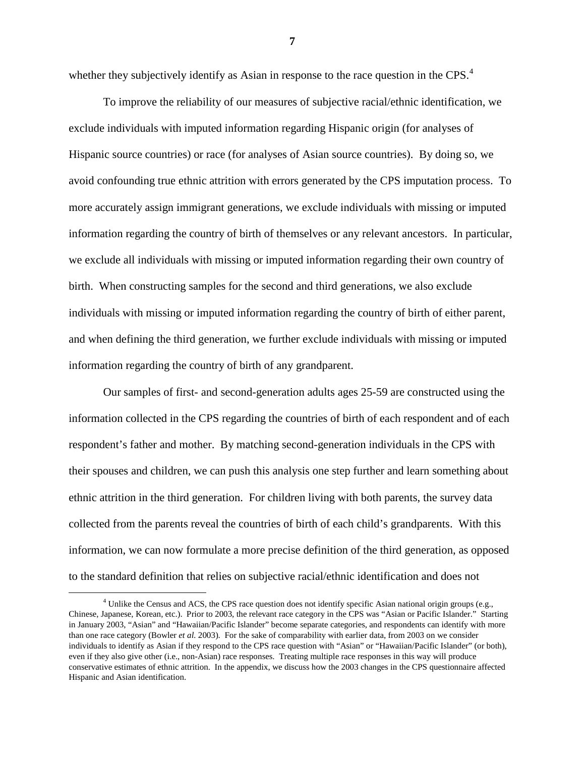whether they subjectively identify as Asian in response to the race question in the CPS.<sup>[4](#page-8-0)</sup>

 To improve the reliability of our measures of subjective racial/ethnic identification, we exclude individuals with imputed information regarding Hispanic origin (for analyses of Hispanic source countries) or race (for analyses of Asian source countries). By doing so, we avoid confounding true ethnic attrition with errors generated by the CPS imputation process. To more accurately assign immigrant generations, we exclude individuals with missing or imputed information regarding the country of birth of themselves or any relevant ancestors. In particular, we exclude all individuals with missing or imputed information regarding their own country of birth. When constructing samples for the second and third generations, we also exclude individuals with missing or imputed information regarding the country of birth of either parent, and when defining the third generation, we further exclude individuals with missing or imputed information regarding the country of birth of any grandparent.

Our samples of first- and second-generation adults ages 25-59 are constructed using the information collected in the CPS regarding the countries of birth of each respondent and of each respondent's father and mother. By matching second-generation individuals in the CPS with their spouses and children, we can push this analysis one step further and learn something about ethnic attrition in the third generation. For children living with both parents, the survey data collected from the parents reveal the countries of birth of each child's grandparents. With this information, we can now formulate a more precise definition of the third generation, as opposed to the standard definition that relies on subjective racial/ethnic identification and does not

<span id="page-8-0"></span><sup>&</sup>lt;sup>4</sup> Unlike the Census and ACS, the CPS race question does not identify specific Asian national origin groups (e.g., Chinese, Japanese, Korean, etc.). Prior to 2003, the relevant race category in the CPS was "Asian or Pacific Islander." Starting in January 2003, "Asian" and "Hawaiian/Pacific Islander" become separate categories, and respondents can identify with more than one race category (Bowler *et al.* 2003). For the sake of comparability with earlier data, from 2003 on we consider individuals to identify as Asian if they respond to the CPS race question with "Asian" or "Hawaiian/Pacific Islander" (or both), even if they also give other (i.e., non-Asian) race responses. Treating multiple race responses in this way will produce conservative estimates of ethnic attrition. In the appendix, we discuss how the 2003 changes in the CPS questionnaire affected Hispanic and Asian identification.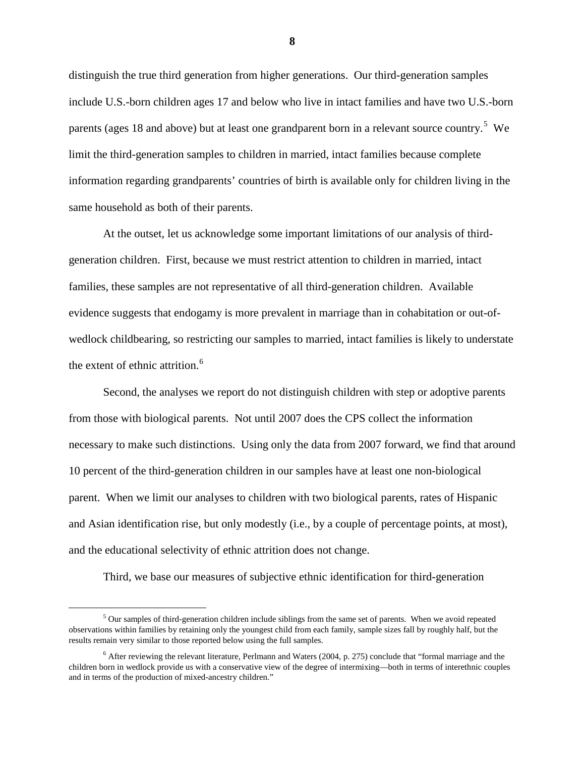distinguish the true third generation from higher generations. Our third-generation samples include U.S.-born children ages 17 and below who live in intact families and have two U.S.-born parents (ages 18 and above) but at least one grandparent born in a relevant source country.<sup>[5](#page-9-0)</sup> We limit the third-generation samples to children in married, intact families because complete information regarding grandparents' countries of birth is available only for children living in the same household as both of their parents.

 At the outset, let us acknowledge some important limitations of our analysis of thirdgeneration children. First, because we must restrict attention to children in married, intact families, these samples are not representative of all third-generation children. Available evidence suggests that endogamy is more prevalent in marriage than in cohabitation or out-ofwedlock childbearing, so restricting our samples to married, intact families is likely to understate the extent of ethnic attrition.<sup>[6](#page-9-1)</sup>

 Second, the analyses we report do not distinguish children with step or adoptive parents from those with biological parents. Not until 2007 does the CPS collect the information necessary to make such distinctions. Using only the data from 2007 forward, we find that around 10 percent of the third-generation children in our samples have at least one non-biological parent. When we limit our analyses to children with two biological parents, rates of Hispanic and Asian identification rise, but only modestly (i.e., by a couple of percentage points, at most), and the educational selectivity of ethnic attrition does not change.

Third, we base our measures of subjective ethnic identification for third-generation

<span id="page-9-0"></span> <sup>5</sup> Our samples of third-generation children include siblings from the same set of parents. When we avoid repeated observations within families by retaining only the youngest child from each family, sample sizes fall by roughly half, but the results remain very similar to those reported below using the full samples.

<span id="page-9-1"></span> $6$  After reviewing the relevant literature, Perlmann and Waters (2004, p. 275) conclude that "formal marriage and the children born in wedlock provide us with a conservative view of the degree of intermixing—both in terms of interethnic couples and in terms of the production of mixed-ancestry children."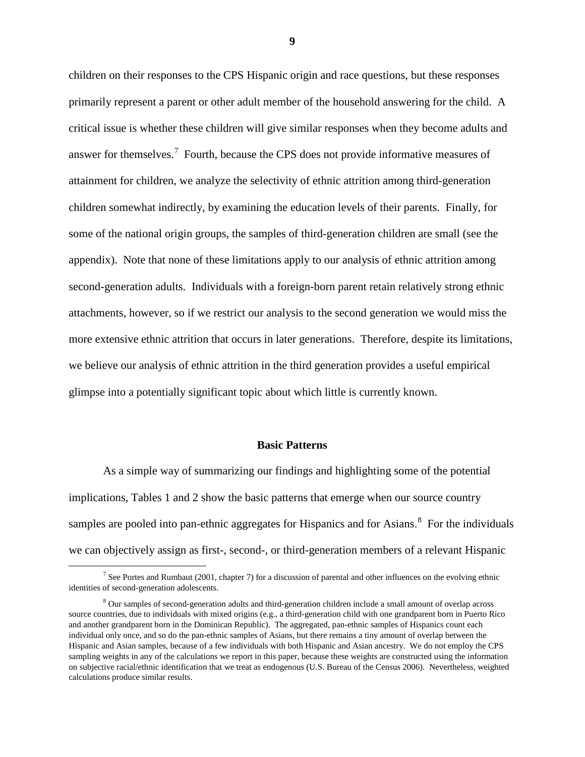children on their responses to the CPS Hispanic origin and race questions, but these responses primarily represent a parent or other adult member of the household answering for the child. A critical issue is whether these children will give similar responses when they become adults and answer for themselves.<sup>[7](#page-10-0)</sup> Fourth, because the CPS does not provide informative measures of attainment for children, we analyze the selectivity of ethnic attrition among third-generation children somewhat indirectly, by examining the education levels of their parents. Finally, for some of the national origin groups, the samples of third-generation children are small (see the appendix). Note that none of these limitations apply to our analysis of ethnic attrition among second-generation adults. Individuals with a foreign-born parent retain relatively strong ethnic attachments, however, so if we restrict our analysis to the second generation we would miss the more extensive ethnic attrition that occurs in later generations. Therefore, despite its limitations, we believe our analysis of ethnic attrition in the third generation provides a useful empirical glimpse into a potentially significant topic about which little is currently known.

#### **Basic Patterns**

 As a simple way of summarizing our findings and highlighting some of the potential implications, Tables 1 and 2 show the basic patterns that emerge when our source country samples are pooled into pan-ethnic aggregates for Hispanics and for Asians.<sup>[8](#page-10-1)</sup> For the individuals we can objectively assign as first-, second-, or third-generation members of a relevant Hispanic

<span id="page-10-0"></span><sup>&</sup>lt;sup>7</sup> See Portes and Rumbaut (2001, chapter 7) for a discussion of parental and other influences on the evolving ethnic identities of second-generation adolescents.

<span id="page-10-1"></span><sup>&</sup>lt;sup>8</sup> Our samples of second-generation adults and third-generation children include a small amount of overlap across source countries, due to individuals with mixed origins (e.g., a third-generation child with one grandparent born in Puerto Rico and another grandparent born in the Dominican Republic). The aggregated, pan-ethnic samples of Hispanics count each individual only once, and so do the pan-ethnic samples of Asians, but there remains a tiny amount of overlap between the Hispanic and Asian samples, because of a few individuals with both Hispanic and Asian ancestry. We do not employ the CPS sampling weights in any of the calculations we report in this paper, because these weights are constructed using the information on subjective racial/ethnic identification that we treat as endogenous (U.S. Bureau of the Census 2006). Nevertheless, weighted calculations produce similar results.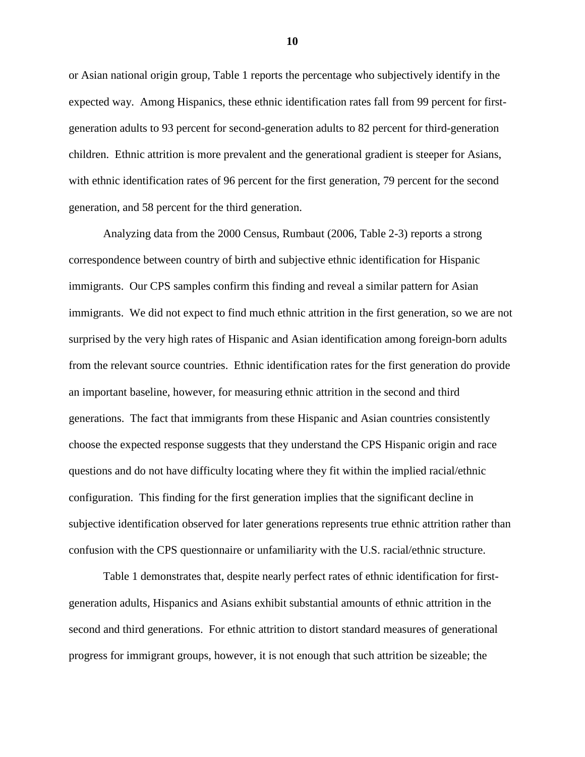or Asian national origin group, Table 1 reports the percentage who subjectively identify in the expected way. Among Hispanics, these ethnic identification rates fall from 99 percent for firstgeneration adults to 93 percent for second-generation adults to 82 percent for third-generation children. Ethnic attrition is more prevalent and the generational gradient is steeper for Asians, with ethnic identification rates of 96 percent for the first generation, 79 percent for the second generation, and 58 percent for the third generation.

 Analyzing data from the 2000 Census, Rumbaut (2006, Table 2-3) reports a strong correspondence between country of birth and subjective ethnic identification for Hispanic immigrants. Our CPS samples confirm this finding and reveal a similar pattern for Asian immigrants. We did not expect to find much ethnic attrition in the first generation, so we are not surprised by the very high rates of Hispanic and Asian identification among foreign-born adults from the relevant source countries. Ethnic identification rates for the first generation do provide an important baseline, however, for measuring ethnic attrition in the second and third generations. The fact that immigrants from these Hispanic and Asian countries consistently choose the expected response suggests that they understand the CPS Hispanic origin and race questions and do not have difficulty locating where they fit within the implied racial/ethnic configuration. This finding for the first generation implies that the significant decline in subjective identification observed for later generations represents true ethnic attrition rather than confusion with the CPS questionnaire or unfamiliarity with the U.S. racial/ethnic structure.

Table 1 demonstrates that, despite nearly perfect rates of ethnic identification for firstgeneration adults, Hispanics and Asians exhibit substantial amounts of ethnic attrition in the second and third generations. For ethnic attrition to distort standard measures of generational progress for immigrant groups, however, it is not enough that such attrition be sizeable; the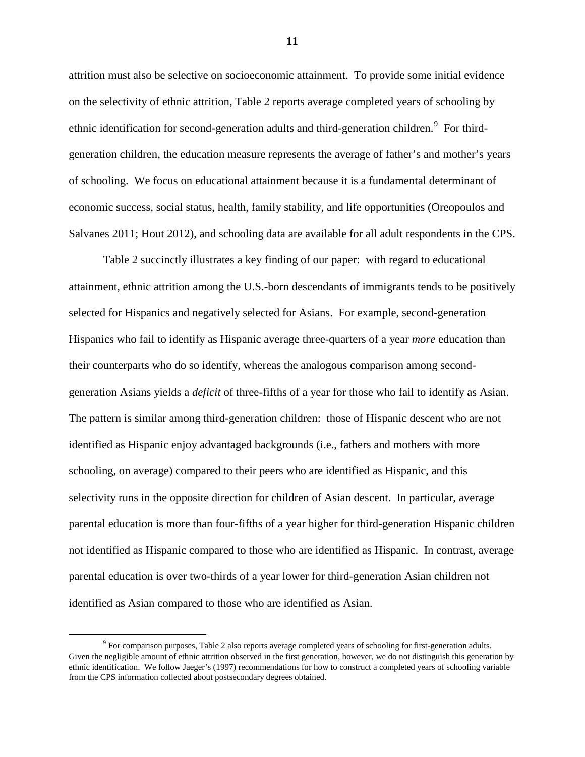attrition must also be selective on socioeconomic attainment. To provide some initial evidence on the selectivity of ethnic attrition, Table 2 reports average completed years of schooling by ethnic identification for second-generation adults and third-generation children.<sup>[9](#page-12-0)</sup> For thirdgeneration children, the education measure represents the average of father's and mother's years of schooling. We focus on educational attainment because it is a fundamental determinant of economic success, social status, health, family stability, and life opportunities (Oreopoulos and Salvanes 2011; Hout 2012), and schooling data are available for all adult respondents in the CPS.

Table 2 succinctly illustrates a key finding of our paper: with regard to educational attainment, ethnic attrition among the U.S.-born descendants of immigrants tends to be positively selected for Hispanics and negatively selected for Asians. For example, second-generation Hispanics who fail to identify as Hispanic average three-quarters of a year *more* education than their counterparts who do so identify, whereas the analogous comparison among secondgeneration Asians yields a *deficit* of three-fifths of a year for those who fail to identify as Asian. The pattern is similar among third-generation children: those of Hispanic descent who are not identified as Hispanic enjoy advantaged backgrounds (i.e., fathers and mothers with more schooling, on average) compared to their peers who are identified as Hispanic, and this selectivity runs in the opposite direction for children of Asian descent. In particular, average parental education is more than four-fifths of a year higher for third-generation Hispanic children not identified as Hispanic compared to those who are identified as Hispanic. In contrast, average parental education is over two-thirds of a year lower for third-generation Asian children not identified as Asian compared to those who are identified as Asian.

<span id="page-12-0"></span> <sup>9</sup> For comparison purposes, Table 2 also reports average completed years of schooling for first-generation adults. Given the negligible amount of ethnic attrition observed in the first generation, however, we do not distinguish this generation by ethnic identification. We follow Jaeger's (1997) recommendations for how to construct a completed years of schooling variable from the CPS information collected about postsecondary degrees obtained.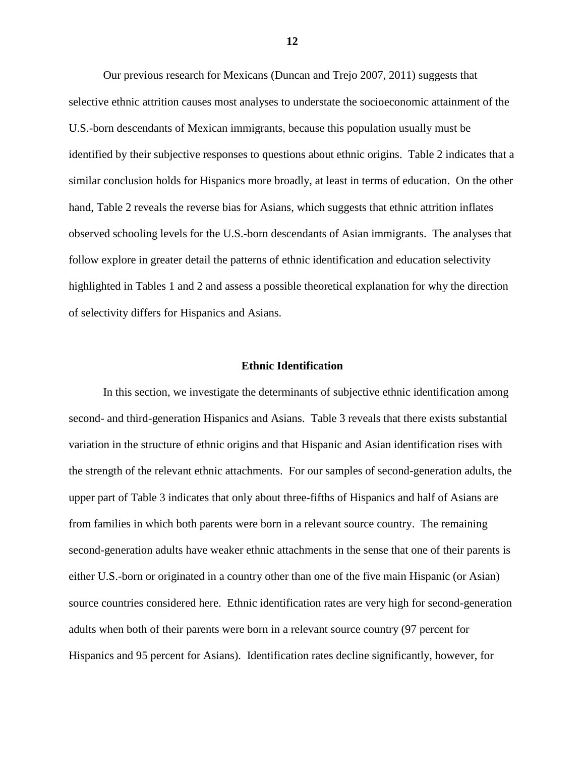Our previous research for Mexicans (Duncan and Trejo 2007, 2011) suggests that selective ethnic attrition causes most analyses to understate the socioeconomic attainment of the U.S.-born descendants of Mexican immigrants, because this population usually must be identified by their subjective responses to questions about ethnic origins. Table 2 indicates that a similar conclusion holds for Hispanics more broadly, at least in terms of education. On the other hand, Table 2 reveals the reverse bias for Asians, which suggests that ethnic attrition inflates observed schooling levels for the U.S.-born descendants of Asian immigrants. The analyses that follow explore in greater detail the patterns of ethnic identification and education selectivity highlighted in Tables 1 and 2 and assess a possible theoretical explanation for why the direction of selectivity differs for Hispanics and Asians.

### **Ethnic Identification**

 In this section, we investigate the determinants of subjective ethnic identification among second- and third-generation Hispanics and Asians. Table 3 reveals that there exists substantial variation in the structure of ethnic origins and that Hispanic and Asian identification rises with the strength of the relevant ethnic attachments. For our samples of second-generation adults, the upper part of Table 3 indicates that only about three-fifths of Hispanics and half of Asians are from families in which both parents were born in a relevant source country. The remaining second-generation adults have weaker ethnic attachments in the sense that one of their parents is either U.S.-born or originated in a country other than one of the five main Hispanic (or Asian) source countries considered here. Ethnic identification rates are very high for second-generation adults when both of their parents were born in a relevant source country (97 percent for Hispanics and 95 percent for Asians). Identification rates decline significantly, however, for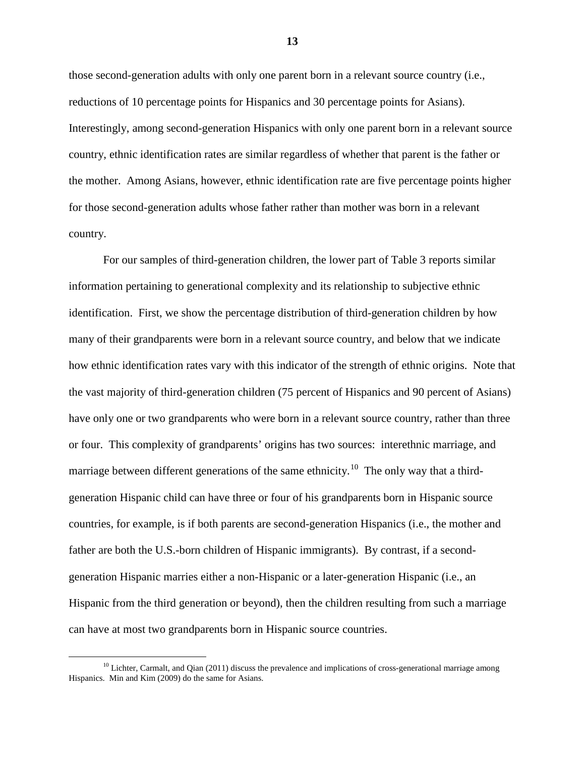those second-generation adults with only one parent born in a relevant source country (i.e., reductions of 10 percentage points for Hispanics and 30 percentage points for Asians). Interestingly, among second-generation Hispanics with only one parent born in a relevant source country, ethnic identification rates are similar regardless of whether that parent is the father or the mother. Among Asians, however, ethnic identification rate are five percentage points higher for those second-generation adults whose father rather than mother was born in a relevant country.

 For our samples of third-generation children, the lower part of Table 3 reports similar information pertaining to generational complexity and its relationship to subjective ethnic identification. First, we show the percentage distribution of third-generation children by how many of their grandparents were born in a relevant source country, and below that we indicate how ethnic identification rates vary with this indicator of the strength of ethnic origins. Note that the vast majority of third-generation children (75 percent of Hispanics and 90 percent of Asians) have only one or two grandparents who were born in a relevant source country, rather than three or four. This complexity of grandparents' origins has two sources: interethnic marriage, and marriage between different generations of the same ethnicity.<sup>[10](#page-14-0)</sup> The only way that a thirdgeneration Hispanic child can have three or four of his grandparents born in Hispanic source countries, for example, is if both parents are second-generation Hispanics (i.e., the mother and father are both the U.S.-born children of Hispanic immigrants). By contrast, if a secondgeneration Hispanic marries either a non-Hispanic or a later-generation Hispanic (i.e., an Hispanic from the third generation or beyond), then the children resulting from such a marriage can have at most two grandparents born in Hispanic source countries.

<span id="page-14-0"></span><sup>&</sup>lt;sup>10</sup> Lichter, Carmalt, and Qian (2011) discuss the prevalence and implications of cross-generational marriage among Hispanics. Min and Kim (2009) do the same for Asians.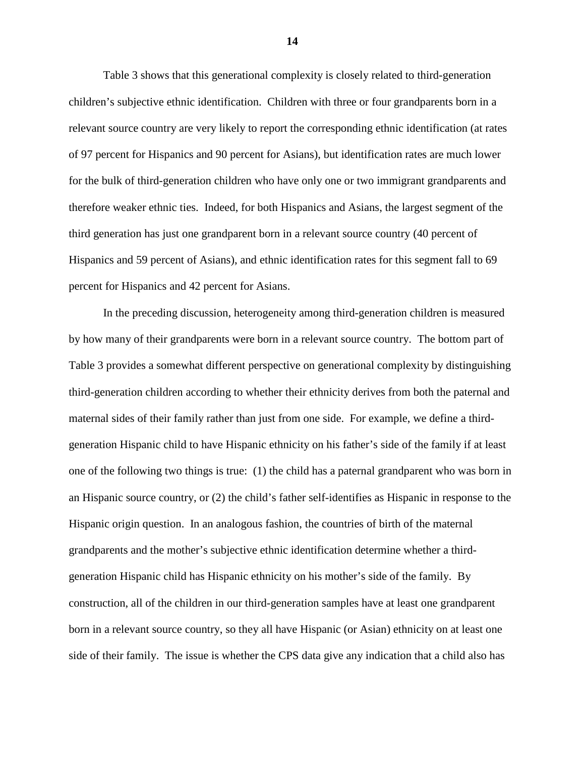Table 3 shows that this generational complexity is closely related to third-generation children's subjective ethnic identification. Children with three or four grandparents born in a relevant source country are very likely to report the corresponding ethnic identification (at rates of 97 percent for Hispanics and 90 percent for Asians), but identification rates are much lower for the bulk of third-generation children who have only one or two immigrant grandparents and therefore weaker ethnic ties. Indeed, for both Hispanics and Asians, the largest segment of the third generation has just one grandparent born in a relevant source country (40 percent of Hispanics and 59 percent of Asians), and ethnic identification rates for this segment fall to 69 percent for Hispanics and 42 percent for Asians.

In the preceding discussion, heterogeneity among third-generation children is measured by how many of their grandparents were born in a relevant source country. The bottom part of Table 3 provides a somewhat different perspective on generational complexity by distinguishing third-generation children according to whether their ethnicity derives from both the paternal and maternal sides of their family rather than just from one side. For example, we define a thirdgeneration Hispanic child to have Hispanic ethnicity on his father's side of the family if at least one of the following two things is true: (1) the child has a paternal grandparent who was born in an Hispanic source country, or (2) the child's father self-identifies as Hispanic in response to the Hispanic origin question. In an analogous fashion, the countries of birth of the maternal grandparents and the mother's subjective ethnic identification determine whether a thirdgeneration Hispanic child has Hispanic ethnicity on his mother's side of the family. By construction, all of the children in our third-generation samples have at least one grandparent born in a relevant source country, so they all have Hispanic (or Asian) ethnicity on at least one side of their family. The issue is whether the CPS data give any indication that a child also has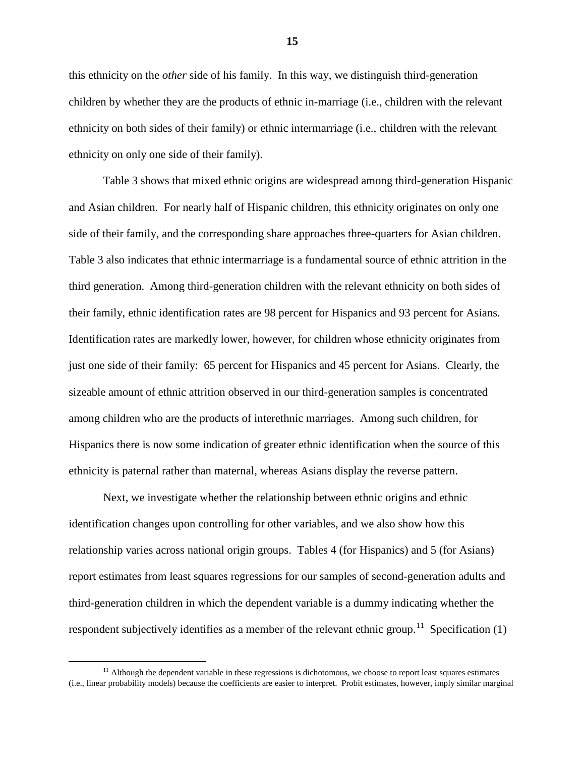this ethnicity on the *other* side of his family. In this way, we distinguish third-generation children by whether they are the products of ethnic in-marriage (i.e., children with the relevant ethnicity on both sides of their family) or ethnic intermarriage (i.e., children with the relevant ethnicity on only one side of their family).

Table 3 shows that mixed ethnic origins are widespread among third-generation Hispanic and Asian children. For nearly half of Hispanic children, this ethnicity originates on only one side of their family, and the corresponding share approaches three-quarters for Asian children. Table 3 also indicates that ethnic intermarriage is a fundamental source of ethnic attrition in the third generation. Among third-generation children with the relevant ethnicity on both sides of their family, ethnic identification rates are 98 percent for Hispanics and 93 percent for Asians. Identification rates are markedly lower, however, for children whose ethnicity originates from just one side of their family: 65 percent for Hispanics and 45 percent for Asians. Clearly, the sizeable amount of ethnic attrition observed in our third-generation samples is concentrated among children who are the products of interethnic marriages. Among such children, for Hispanics there is now some indication of greater ethnic identification when the source of this ethnicity is paternal rather than maternal, whereas Asians display the reverse pattern.

Next, we investigate whether the relationship between ethnic origins and ethnic identification changes upon controlling for other variables, and we also show how this relationship varies across national origin groups. Tables 4 (for Hispanics) and 5 (for Asians) report estimates from least squares regressions for our samples of second-generation adults and third-generation children in which the dependent variable is a dummy indicating whether the respondent subjectively identifies as a member of the relevant ethnic group.<sup>[11](#page-16-0)</sup> Specification (1)

<span id="page-16-0"></span> $11$  Although the dependent variable in these regressions is dichotomous, we choose to report least squares estimates (i.e., linear probability models) because the coefficients are easier to interpret. Probit estimates, however, imply similar marginal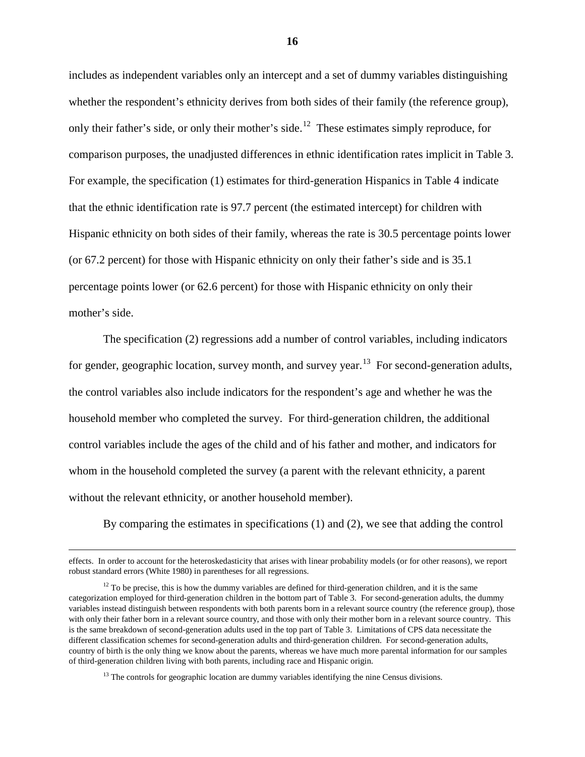includes as independent variables only an intercept and a set of dummy variables distinguishing whether the respondent's ethnicity derives from both sides of their family (the reference group), only their father's side, or only their mother's side.<sup>[12](#page-17-0)</sup> These estimates simply reproduce, for comparison purposes, the unadjusted differences in ethnic identification rates implicit in Table 3. For example, the specification (1) estimates for third-generation Hispanics in Table 4 indicate that the ethnic identification rate is 97.7 percent (the estimated intercept) for children with Hispanic ethnicity on both sides of their family, whereas the rate is 30.5 percentage points lower (or 67.2 percent) for those with Hispanic ethnicity on only their father's side and is 35.1 percentage points lower (or 62.6 percent) for those with Hispanic ethnicity on only their mother's side.

 The specification (2) regressions add a number of control variables, including indicators for gender, geographic location, survey month, and survey year.<sup>13</sup> For second-generation adults, the control variables also include indicators for the respondent's age and whether he was the household member who completed the survey. For third-generation children, the additional control variables include the ages of the child and of his father and mother, and indicators for whom in the household completed the survey (a parent with the relevant ethnicity, a parent without the relevant ethnicity, or another household member).

By comparing the estimates in specifications (1) and (2), we see that adding the control

effects. In order to account for the heteroskedasticity that arises with linear probability models (or for other reasons), we report robust standard errors (White 1980) in parentheses for all regressions.

<span id="page-17-0"></span> $12$  To be precise, this is how the dummy variables are defined for third-generation children, and it is the same categorization employed for third-generation children in the bottom part of Table 3. For second-generation adults, the dummy variables instead distinguish between respondents with both parents born in a relevant source country (the reference group), those with only their father born in a relevant source country, and those with only their mother born in a relevant source country. This is the same breakdown of second-generation adults used in the top part of Table 3. Limitations of CPS data necessitate the different classification schemes for second-generation adults and third-generation children. For second-generation adults, country of birth is the only thing we know about the parents, whereas we have much more parental information for our samples of third-generation children living with both parents, including race and Hispanic origin.

<span id="page-17-1"></span> $13$  The controls for geographic location are dummy variables identifying the nine Census divisions.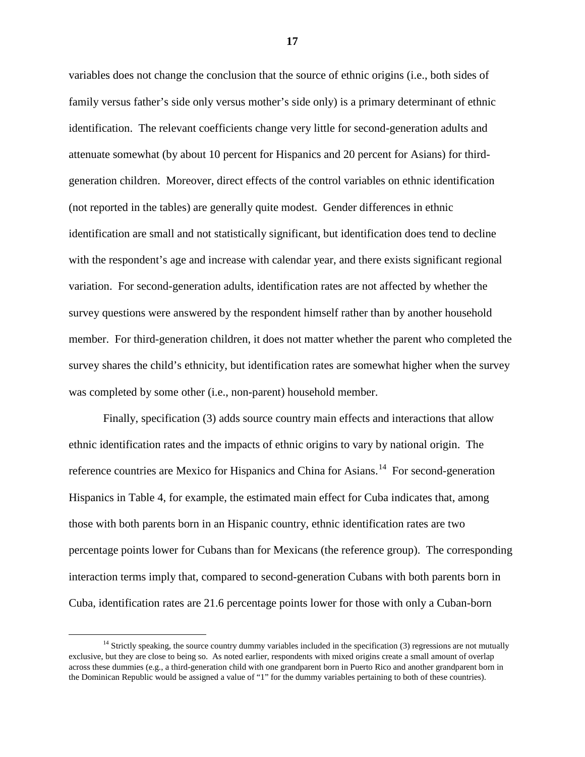variables does not change the conclusion that the source of ethnic origins (i.e., both sides of family versus father's side only versus mother's side only) is a primary determinant of ethnic identification. The relevant coefficients change very little for second-generation adults and attenuate somewhat (by about 10 percent for Hispanics and 20 percent for Asians) for thirdgeneration children. Moreover, direct effects of the control variables on ethnic identification (not reported in the tables) are generally quite modest. Gender differences in ethnic identification are small and not statistically significant, but identification does tend to decline with the respondent's age and increase with calendar year, and there exists significant regional variation. For second-generation adults, identification rates are not affected by whether the survey questions were answered by the respondent himself rather than by another household member. For third-generation children, it does not matter whether the parent who completed the survey shares the child's ethnicity, but identification rates are somewhat higher when the survey was completed by some other (i.e., non-parent) household member.

Finally, specification (3) adds source country main effects and interactions that allow ethnic identification rates and the impacts of ethnic origins to vary by national origin. The reference countries are Mexico for Hispanics and China for Asians.<sup>14</sup> For second-generation Hispanics in Table 4, for example, the estimated main effect for Cuba indicates that, among those with both parents born in an Hispanic country, ethnic identification rates are two percentage points lower for Cubans than for Mexicans (the reference group). The corresponding interaction terms imply that, compared to second-generation Cubans with both parents born in Cuba, identification rates are 21.6 percentage points lower for those with only a Cuban-born

<span id="page-18-0"></span> $14$  Strictly speaking, the source country dummy variables included in the specification (3) regressions are not mutually exclusive, but they are close to being so. As noted earlier, respondents with mixed origins create a small amount of overlap across these dummies (e.g., a third-generation child with one grandparent born in Puerto Rico and another grandparent born in the Dominican Republic would be assigned a value of "1" for the dummy variables pertaining to both of these countries).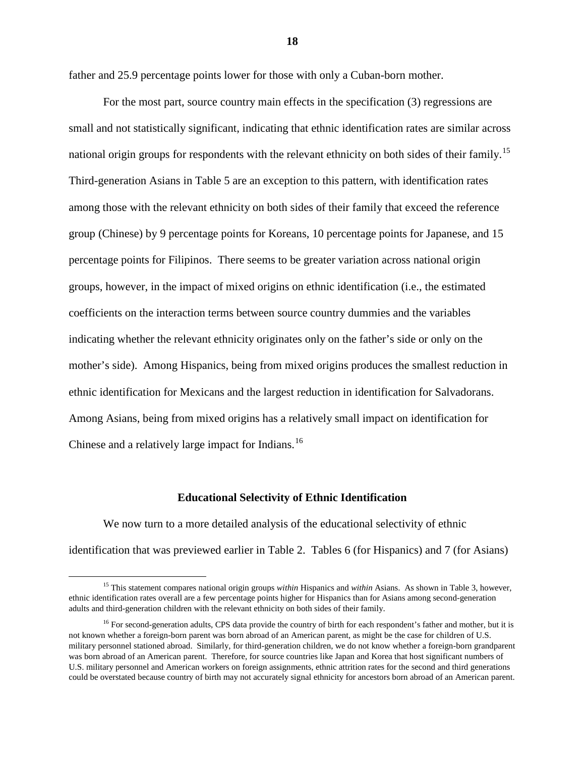father and 25.9 percentage points lower for those with only a Cuban-born mother.

 For the most part, source country main effects in the specification (3) regressions are small and not statistically significant, indicating that ethnic identification rates are similar across national origin groups for respondents with the relevant ethnicity on both sides of their family.<sup>[15](#page-19-0)</sup> Third-generation Asians in Table 5 are an exception to this pattern, with identification rates among those with the relevant ethnicity on both sides of their family that exceed the reference group (Chinese) by 9 percentage points for Koreans, 10 percentage points for Japanese, and 15 percentage points for Filipinos. There seems to be greater variation across national origin groups, however, in the impact of mixed origins on ethnic identification (i.e., the estimated coefficients on the interaction terms between source country dummies and the variables indicating whether the relevant ethnicity originates only on the father's side or only on the mother's side). Among Hispanics, being from mixed origins produces the smallest reduction in ethnic identification for Mexicans and the largest reduction in identification for Salvadorans. Among Asians, being from mixed origins has a relatively small impact on identification for Chinese and a relatively large impact for Indians.[16](#page-19-1)

### **Educational Selectivity of Ethnic Identification**

We now turn to a more detailed analysis of the educational selectivity of ethnic identification that was previewed earlier in Table 2. Tables 6 (for Hispanics) and 7 (for Asians)

<span id="page-19-0"></span> <sup>15</sup> This statement compares national origin groups *within* Hispanics and *within* Asians. As shown in Table 3, however, ethnic identification rates overall are a few percentage points higher for Hispanics than for Asians among second-generation adults and third-generation children with the relevant ethnicity on both sides of their family.

<span id="page-19-1"></span><sup>&</sup>lt;sup>16</sup> For second-generation adults, CPS data provide the country of birth for each respondent's father and mother, but it is not known whether a foreign-born parent was born abroad of an American parent, as might be the case for children of U.S. military personnel stationed abroad. Similarly, for third-generation children, we do not know whether a foreign-born grandparent was born abroad of an American parent. Therefore, for source countries like Japan and Korea that host significant numbers of U.S. military personnel and American workers on foreign assignments, ethnic attrition rates for the second and third generations could be overstated because country of birth may not accurately signal ethnicity for ancestors born abroad of an American parent.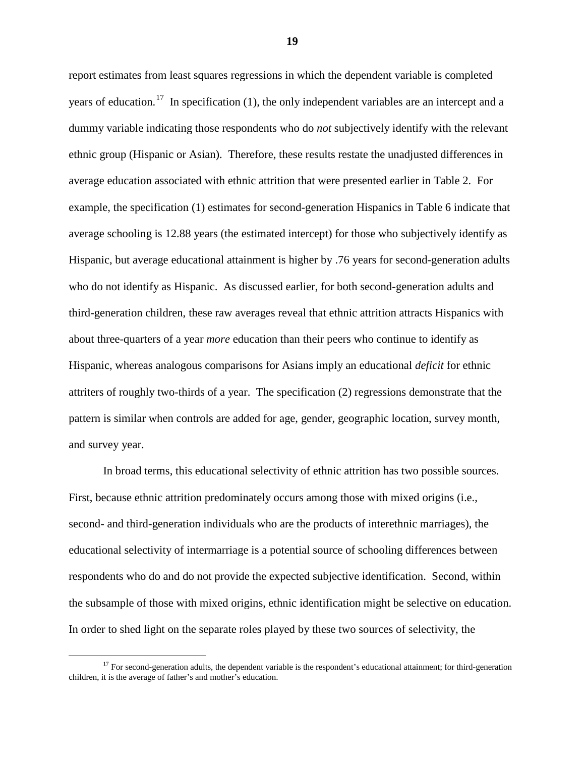report estimates from least squares regressions in which the dependent variable is completed years of education.<sup>17</sup> In specification (1), the only independent variables are an intercept and a dummy variable indicating those respondents who do *not* subjectively identify with the relevant ethnic group (Hispanic or Asian). Therefore, these results restate the unadjusted differences in average education associated with ethnic attrition that were presented earlier in Table 2. For example, the specification (1) estimates for second-generation Hispanics in Table 6 indicate that average schooling is 12.88 years (the estimated intercept) for those who subjectively identify as Hispanic, but average educational attainment is higher by .76 years for second-generation adults who do not identify as Hispanic. As discussed earlier, for both second-generation adults and third-generation children, these raw averages reveal that ethnic attrition attracts Hispanics with about three-quarters of a year *more* education than their peers who continue to identify as Hispanic, whereas analogous comparisons for Asians imply an educational *deficit* for ethnic attriters of roughly two-thirds of a year. The specification (2) regressions demonstrate that the pattern is similar when controls are added for age, gender, geographic location, survey month, and survey year.

 In broad terms, this educational selectivity of ethnic attrition has two possible sources. First, because ethnic attrition predominately occurs among those with mixed origins (i.e., second- and third-generation individuals who are the products of interethnic marriages), the educational selectivity of intermarriage is a potential source of schooling differences between respondents who do and do not provide the expected subjective identification. Second, within the subsample of those with mixed origins, ethnic identification might be selective on education. In order to shed light on the separate roles played by these two sources of selectivity, the

<span id="page-20-0"></span> $17$  For second-generation adults, the dependent variable is the respondent's educational attainment; for third-generation children, it is the average of father's and mother's education.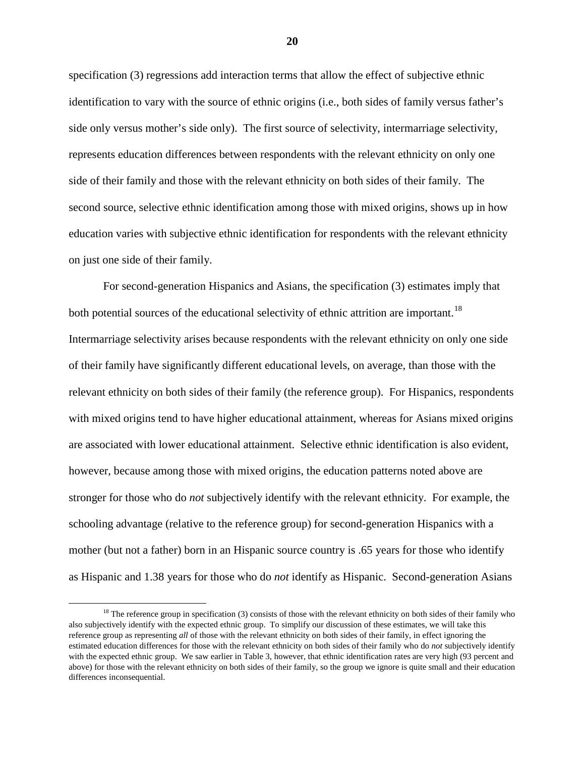specification (3) regressions add interaction terms that allow the effect of subjective ethnic identification to vary with the source of ethnic origins (i.e., both sides of family versus father's side only versus mother's side only). The first source of selectivity, intermarriage selectivity, represents education differences between respondents with the relevant ethnicity on only one side of their family and those with the relevant ethnicity on both sides of their family. The second source, selective ethnic identification among those with mixed origins, shows up in how education varies with subjective ethnic identification for respondents with the relevant ethnicity on just one side of their family.

 For second-generation Hispanics and Asians, the specification (3) estimates imply that both potential sources of the educational selectivity of ethnic attrition are important.<sup>18</sup> Intermarriage selectivity arises because respondents with the relevant ethnicity on only one side of their family have significantly different educational levels, on average, than those with the relevant ethnicity on both sides of their family (the reference group). For Hispanics, respondents with mixed origins tend to have higher educational attainment, whereas for Asians mixed origins are associated with lower educational attainment. Selective ethnic identification is also evident, however, because among those with mixed origins, the education patterns noted above are stronger for those who do *not* subjectively identify with the relevant ethnicity. For example, the schooling advantage (relative to the reference group) for second-generation Hispanics with a mother (but not a father) born in an Hispanic source country is .65 years for those who identify as Hispanic and 1.38 years for those who do *not* identify as Hispanic. Second-generation Asians

<span id="page-21-0"></span> $18$  The reference group in specification (3) consists of those with the relevant ethnicity on both sides of their family who also subjectively identify with the expected ethnic group. To simplify our discussion of these estimates, we will take this reference group as representing *all* of those with the relevant ethnicity on both sides of their family, in effect ignoring the estimated education differences for those with the relevant ethnicity on both sides of their family who do *not* subjectively identify with the expected ethnic group. We saw earlier in Table 3, however, that ethnic identification rates are very high (93 percent and above) for those with the relevant ethnicity on both sides of their family, so the group we ignore is quite small and their education differences inconsequential.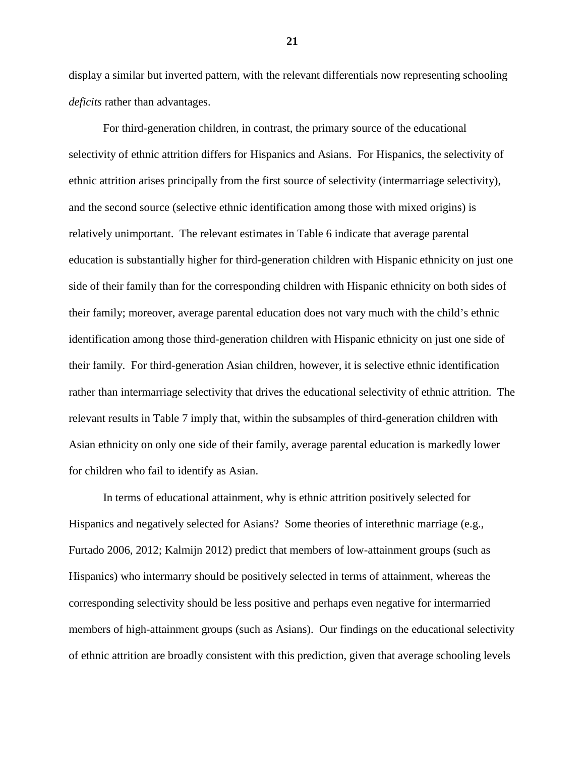display a similar but inverted pattern, with the relevant differentials now representing schooling *deficits* rather than advantages.

For third-generation children, in contrast, the primary source of the educational selectivity of ethnic attrition differs for Hispanics and Asians. For Hispanics, the selectivity of ethnic attrition arises principally from the first source of selectivity (intermarriage selectivity), and the second source (selective ethnic identification among those with mixed origins) is relatively unimportant. The relevant estimates in Table 6 indicate that average parental education is substantially higher for third-generation children with Hispanic ethnicity on just one side of their family than for the corresponding children with Hispanic ethnicity on both sides of their family; moreover, average parental education does not vary much with the child's ethnic identification among those third-generation children with Hispanic ethnicity on just one side of their family. For third-generation Asian children, however, it is selective ethnic identification rather than intermarriage selectivity that drives the educational selectivity of ethnic attrition. The relevant results in Table 7 imply that, within the subsamples of third-generation children with Asian ethnicity on only one side of their family, average parental education is markedly lower for children who fail to identify as Asian.

In terms of educational attainment, why is ethnic attrition positively selected for Hispanics and negatively selected for Asians? Some theories of interethnic marriage (e.g., Furtado 2006, 2012; Kalmijn 2012) predict that members of low-attainment groups (such as Hispanics) who intermarry should be positively selected in terms of attainment, whereas the corresponding selectivity should be less positive and perhaps even negative for intermarried members of high-attainment groups (such as Asians). Our findings on the educational selectivity of ethnic attrition are broadly consistent with this prediction, given that average schooling levels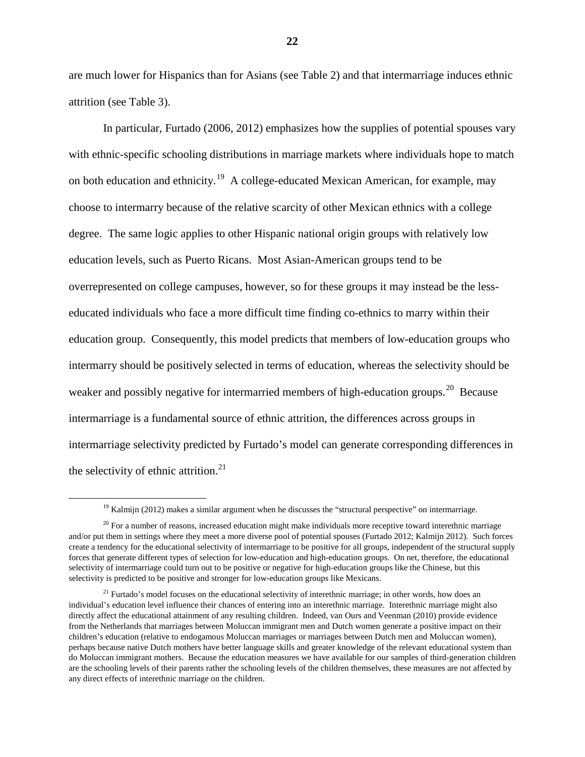are much lower for Hispanics than for Asians (see Table 2) and that intermarriage induces ethnic attrition (see Table 3).

In particular, Furtado (2006, 2012) emphasizes how the supplies of potential spouses vary with ethnic-specific schooling distributions in marriage markets where individuals hope to match on both education and ethnicity.[19](#page-23-0) A college-educated Mexican American, for example, may choose to intermarry because of the relative scarcity of other Mexican ethnics with a college degree. The same logic applies to other Hispanic national origin groups with relatively low education levels, such as Puerto Ricans. Most Asian-American groups tend to be overrepresented on college campuses, however, so for these groups it may instead be the lesseducated individuals who face a more difficult time finding co-ethnics to marry within their education group. Consequently, this model predicts that members of low-education groups who intermarry should be positively selected in terms of education, whereas the selectivity should be weaker and possibly negative for intermarried members of high-education groups.<sup>[20](#page-23-1)</sup> Because intermarriage is a fundamental source of ethnic attrition, the differences across groups in intermarriage selectivity predicted by Furtado's model can generate corresponding differences in the selectivity of ethnic attrition. $21$ 

 $19$  Kalmijn (2012) makes a similar argument when he discusses the "structural perspective" on intermarriage.

<span id="page-23-1"></span><span id="page-23-0"></span> $^{20}$  For a number of reasons, increased education might make individuals more receptive toward interethnic marriage and/or put them in settings where they meet a more diverse pool of potential spouses (Furtado 2012; Kalmijn 2012). Such forces create a tendency for the educational selectivity of intermarriage to be positive for all groups, independent of the structural supply forces that generate different types of selection for low-education and high-education groups. On net, therefore, the educational selectivity of intermarriage could turn out to be positive or negative for high-education groups like the Chinese, but this selectivity is predicted to be positive and stronger for low-education groups like Mexicans.

<span id="page-23-2"></span> $21$  Furtado's model focuses on the educational selectivity of interethnic marriage; in other words, how does an individual's education level influence their chances of entering into an interethnic marriage. Interethnic marriage might also directly affect the educational attainment of any resulting children. Indeed, van Ours and Veenman (2010) provide evidence from the Netherlands that marriages between Moluccan immigrant men and Dutch women generate a positive impact on their children's education (relative to endogamous Moluccan marriages or marriages between Dutch men and Moluccan women), perhaps because native Dutch mothers have better language skills and greater knowledge of the relevant educational system than do Moluccan immigrant mothers. Because the education measures we have available for our samples of third-generation children are the schooling levels of their parents rather the schooling levels of the children themselves, these measures are not affected by any direct effects of interethnic marriage on the children.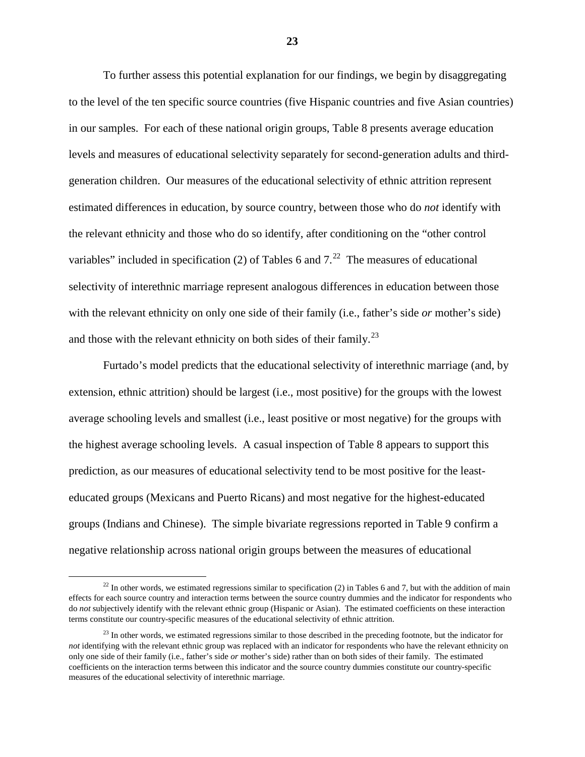To further assess this potential explanation for our findings, we begin by disaggregating to the level of the ten specific source countries (five Hispanic countries and five Asian countries) in our samples. For each of these national origin groups, Table 8 presents average education levels and measures of educational selectivity separately for second-generation adults and thirdgeneration children. Our measures of the educational selectivity of ethnic attrition represent estimated differences in education, by source country, between those who do *not* identify with the relevant ethnicity and those who do so identify, after conditioning on the "other control variables" included in specification (2) of Tables 6 and  $7<sup>22</sup>$  The measures of educational selectivity of interethnic marriage represent analogous differences in education between those with the relevant ethnicity on only one side of their family (i.e., father's side *or* mother's side) and those with the relevant ethnicity on both sides of their family.<sup>[23](#page-24-1)</sup>

 Furtado's model predicts that the educational selectivity of interethnic marriage (and, by extension, ethnic attrition) should be largest (i.e., most positive) for the groups with the lowest average schooling levels and smallest (i.e., least positive or most negative) for the groups with the highest average schooling levels. A casual inspection of Table 8 appears to support this prediction, as our measures of educational selectivity tend to be most positive for the leasteducated groups (Mexicans and Puerto Ricans) and most negative for the highest-educated groups (Indians and Chinese). The simple bivariate regressions reported in Table 9 confirm a negative relationship across national origin groups between the measures of educational

<span id="page-24-0"></span> $^{22}$  In other words, we estimated regressions similar to specification (2) in Tables 6 and 7, but with the addition of main effects for each source country and interaction terms between the source country dummies and the indicator for respondents who do *not* subjectively identify with the relevant ethnic group (Hispanic or Asian). The estimated coefficients on these interaction terms constitute our country-specific measures of the educational selectivity of ethnic attrition.

<span id="page-24-1"></span> $23$  In other words, we estimated regressions similar to those described in the preceding footnote, but the indicator for *not* identifying with the relevant ethnic group was replaced with an indicator for respondents who have the relevant ethnicity on only one side of their family (i.e., father's side *or* mother's side) rather than on both sides of their family. The estimated coefficients on the interaction terms between this indicator and the source country dummies constitute our country-specific measures of the educational selectivity of interethnic marriage.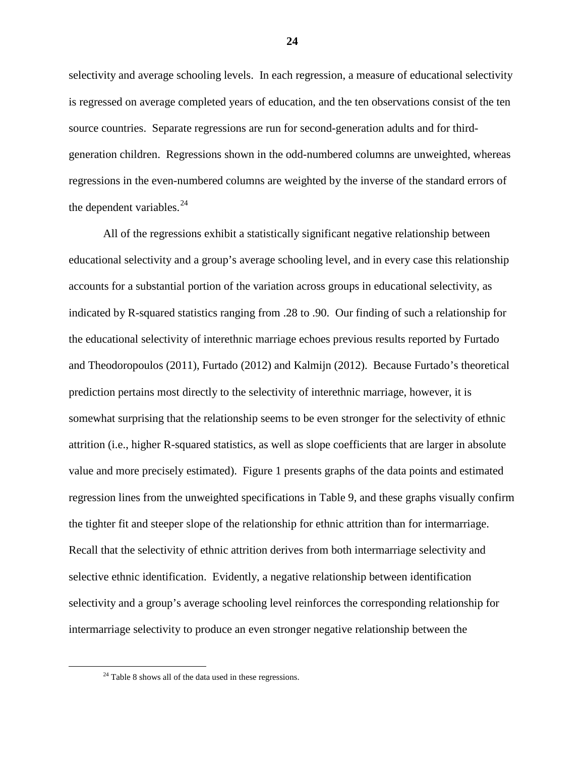selectivity and average schooling levels. In each regression, a measure of educational selectivity is regressed on average completed years of education, and the ten observations consist of the ten source countries. Separate regressions are run for second-generation adults and for thirdgeneration children. Regressions shown in the odd-numbered columns are unweighted, whereas regressions in the even-numbered columns are weighted by the inverse of the standard errors of the dependent variables. $^{24}$  $^{24}$  $^{24}$ 

 All of the regressions exhibit a statistically significant negative relationship between educational selectivity and a group's average schooling level, and in every case this relationship accounts for a substantial portion of the variation across groups in educational selectivity, as indicated by R-squared statistics ranging from .28 to .90. Our finding of such a relationship for the educational selectivity of interethnic marriage echoes previous results reported by Furtado and Theodoropoulos (2011), Furtado (2012) and Kalmijn (2012). Because Furtado's theoretical prediction pertains most directly to the selectivity of interethnic marriage, however, it is somewhat surprising that the relationship seems to be even stronger for the selectivity of ethnic attrition (i.e., higher R-squared statistics, as well as slope coefficients that are larger in absolute value and more precisely estimated). Figure 1 presents graphs of the data points and estimated regression lines from the unweighted specifications in Table 9, and these graphs visually confirm the tighter fit and steeper slope of the relationship for ethnic attrition than for intermarriage. Recall that the selectivity of ethnic attrition derives from both intermarriage selectivity and selective ethnic identification. Evidently, a negative relationship between identification selectivity and a group's average schooling level reinforces the corresponding relationship for intermarriage selectivity to produce an even stronger negative relationship between the

<span id="page-25-0"></span> $24$  Table 8 shows all of the data used in these regressions.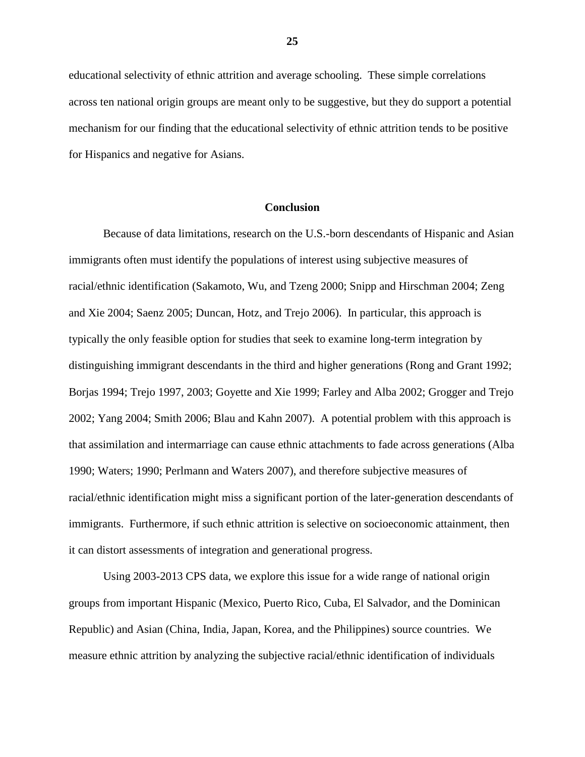educational selectivity of ethnic attrition and average schooling. These simple correlations across ten national origin groups are meant only to be suggestive, but they do support a potential mechanism for our finding that the educational selectivity of ethnic attrition tends to be positive for Hispanics and negative for Asians.

### **Conclusion**

Because of data limitations, research on the U.S.-born descendants of Hispanic and Asian immigrants often must identify the populations of interest using subjective measures of racial/ethnic identification (Sakamoto, Wu, and Tzeng 2000; Snipp and Hirschman 2004; Zeng and Xie 2004; Saenz 2005; Duncan, Hotz, and Trejo 2006). In particular, this approach is typically the only feasible option for studies that seek to examine long-term integration by distinguishing immigrant descendants in the third and higher generations (Rong and Grant 1992; Borjas 1994; Trejo 1997, 2003; Goyette and Xie 1999; Farley and Alba 2002; Grogger and Trejo 2002; Yang 2004; Smith 2006; Blau and Kahn 2007). A potential problem with this approach is that assimilation and intermarriage can cause ethnic attachments to fade across generations (Alba 1990; Waters; 1990; Perlmann and Waters 2007), and therefore subjective measures of racial/ethnic identification might miss a significant portion of the later-generation descendants of immigrants. Furthermore, if such ethnic attrition is selective on socioeconomic attainment, then it can distort assessments of integration and generational progress.

Using 2003-2013 CPS data, we explore this issue for a wide range of national origin groups from important Hispanic (Mexico, Puerto Rico, Cuba, El Salvador, and the Dominican Republic) and Asian (China, India, Japan, Korea, and the Philippines) source countries. We measure ethnic attrition by analyzing the subjective racial/ethnic identification of individuals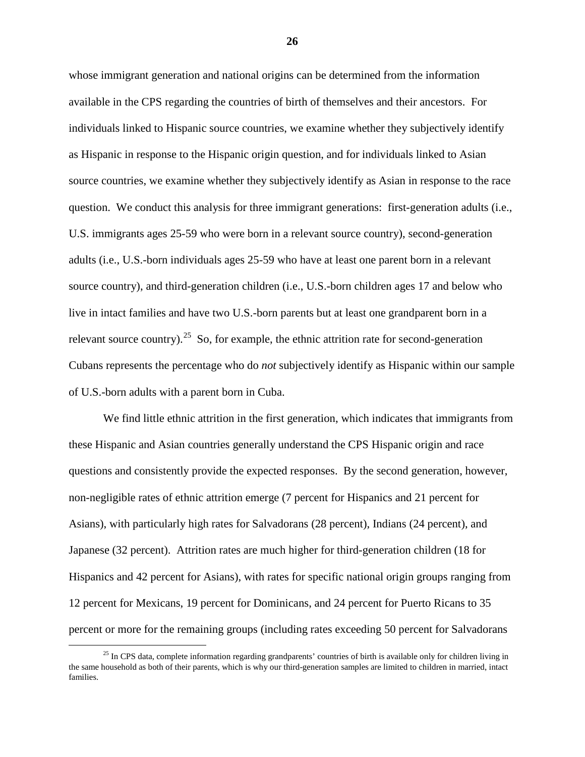whose immigrant generation and national origins can be determined from the information available in the CPS regarding the countries of birth of themselves and their ancestors. For individuals linked to Hispanic source countries, we examine whether they subjectively identify as Hispanic in response to the Hispanic origin question, and for individuals linked to Asian source countries, we examine whether they subjectively identify as Asian in response to the race question. We conduct this analysis for three immigrant generations: first-generation adults (i.e., U.S. immigrants ages 25-59 who were born in a relevant source country), second-generation adults (i.e., U.S.-born individuals ages 25-59 who have at least one parent born in a relevant source country), and third-generation children (i.e., U.S.-born children ages 17 and below who live in intact families and have two U.S.-born parents but at least one grandparent born in a relevant source country).<sup>[25](#page-27-0)</sup> So, for example, the ethnic attrition rate for second-generation Cubans represents the percentage who do *not* subjectively identify as Hispanic within our sample of U.S.-born adults with a parent born in Cuba.

We find little ethnic attrition in the first generation, which indicates that immigrants from these Hispanic and Asian countries generally understand the CPS Hispanic origin and race questions and consistently provide the expected responses. By the second generation, however, non-negligible rates of ethnic attrition emerge (7 percent for Hispanics and 21 percent for Asians), with particularly high rates for Salvadorans (28 percent), Indians (24 percent), and Japanese (32 percent). Attrition rates are much higher for third-generation children (18 for Hispanics and 42 percent for Asians), with rates for specific national origin groups ranging from 12 percent for Mexicans, 19 percent for Dominicans, and 24 percent for Puerto Ricans to 35 percent or more for the remaining groups (including rates exceeding 50 percent for Salvadorans

<span id="page-27-0"></span> $25$  In CPS data, complete information regarding grandparents' countries of birth is available only for children living in the same household as both of their parents, which is why our third-generation samples are limited to children in married, intact families.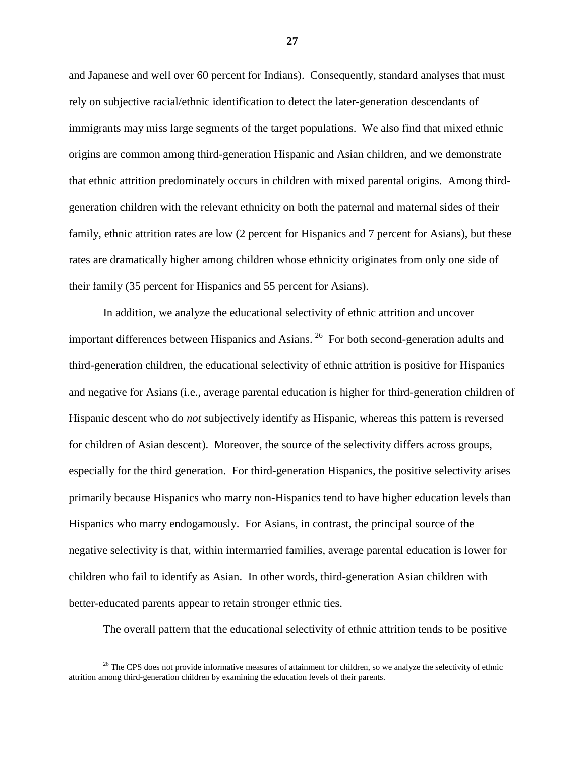and Japanese and well over 60 percent for Indians). Consequently, standard analyses that must rely on subjective racial/ethnic identification to detect the later-generation descendants of immigrants may miss large segments of the target populations. We also find that mixed ethnic origins are common among third-generation Hispanic and Asian children, and we demonstrate that ethnic attrition predominately occurs in children with mixed parental origins. Among thirdgeneration children with the relevant ethnicity on both the paternal and maternal sides of their family, ethnic attrition rates are low (2 percent for Hispanics and 7 percent for Asians), but these rates are dramatically higher among children whose ethnicity originates from only one side of their family (35 percent for Hispanics and 55 percent for Asians).

 In addition, we analyze the educational selectivity of ethnic attrition and uncover important differences between Hispanics and Asians.<sup>26</sup> For both second-generation adults and third-generation children, the educational selectivity of ethnic attrition is positive for Hispanics and negative for Asians (i.e., average parental education is higher for third-generation children of Hispanic descent who do *not* subjectively identify as Hispanic, whereas this pattern is reversed for children of Asian descent). Moreover, the source of the selectivity differs across groups, especially for the third generation. For third-generation Hispanics, the positive selectivity arises primarily because Hispanics who marry non-Hispanics tend to have higher education levels than Hispanics who marry endogamously. For Asians, in contrast, the principal source of the negative selectivity is that, within intermarried families, average parental education is lower for children who fail to identify as Asian. In other words, third-generation Asian children with better-educated parents appear to retain stronger ethnic ties.

The overall pattern that the educational selectivity of ethnic attrition tends to be positive

<span id="page-28-0"></span> $26$  The CPS does not provide informative measures of attainment for children, so we analyze the selectivity of ethnic attrition among third-generation children by examining the education levels of their parents.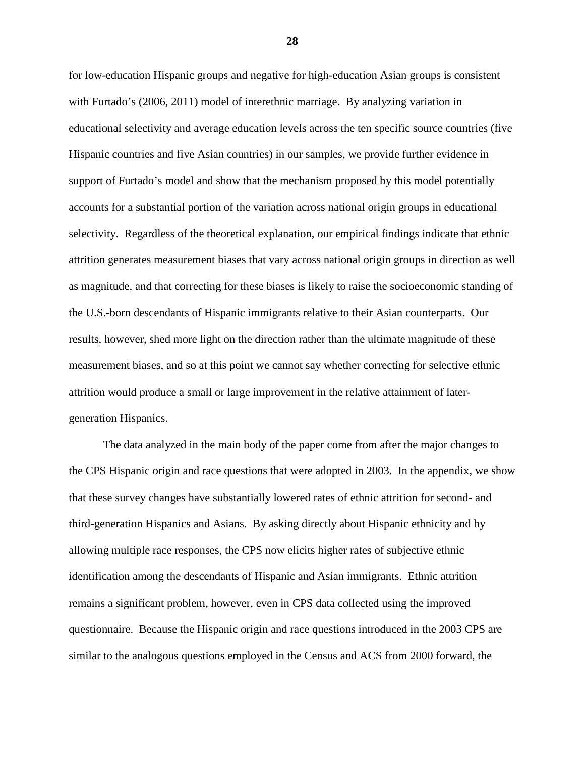for low-education Hispanic groups and negative for high-education Asian groups is consistent with Furtado's (2006, 2011) model of interethnic marriage. By analyzing variation in educational selectivity and average education levels across the ten specific source countries (five Hispanic countries and five Asian countries) in our samples, we provide further evidence in support of Furtado's model and show that the mechanism proposed by this model potentially accounts for a substantial portion of the variation across national origin groups in educational selectivity. Regardless of the theoretical explanation, our empirical findings indicate that ethnic attrition generates measurement biases that vary across national origin groups in direction as well as magnitude, and that correcting for these biases is likely to raise the socioeconomic standing of the U.S.-born descendants of Hispanic immigrants relative to their Asian counterparts. Our results, however, shed more light on the direction rather than the ultimate magnitude of these measurement biases, and so at this point we cannot say whether correcting for selective ethnic attrition would produce a small or large improvement in the relative attainment of latergeneration Hispanics.

 The data analyzed in the main body of the paper come from after the major changes to the CPS Hispanic origin and race questions that were adopted in 2003. In the appendix, we show that these survey changes have substantially lowered rates of ethnic attrition for second- and third-generation Hispanics and Asians. By asking directly about Hispanic ethnicity and by allowing multiple race responses, the CPS now elicits higher rates of subjective ethnic identification among the descendants of Hispanic and Asian immigrants. Ethnic attrition remains a significant problem, however, even in CPS data collected using the improved questionnaire. Because the Hispanic origin and race questions introduced in the 2003 CPS are similar to the analogous questions employed in the Census and ACS from 2000 forward, the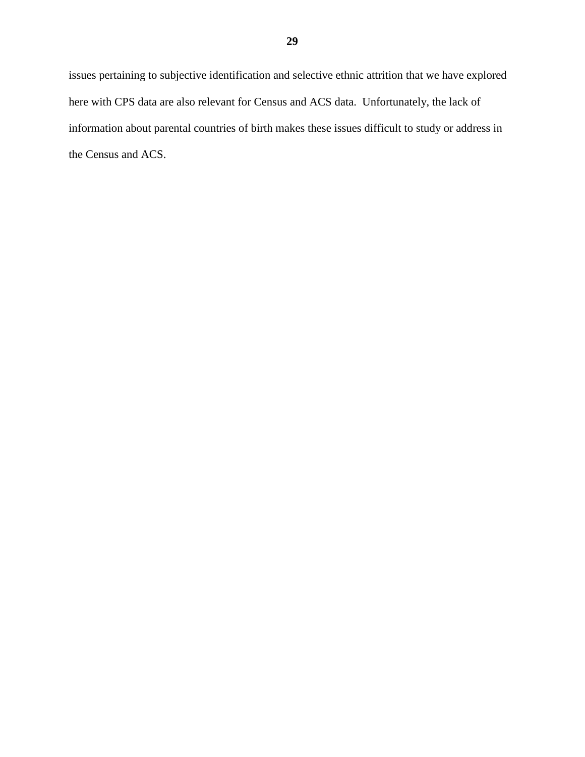issues pertaining to subjective identification and selective ethnic attrition that we have explored here with CPS data are also relevant for Census and ACS data. Unfortunately, the lack of information about parental countries of birth makes these issues difficult to study or address in the Census and ACS.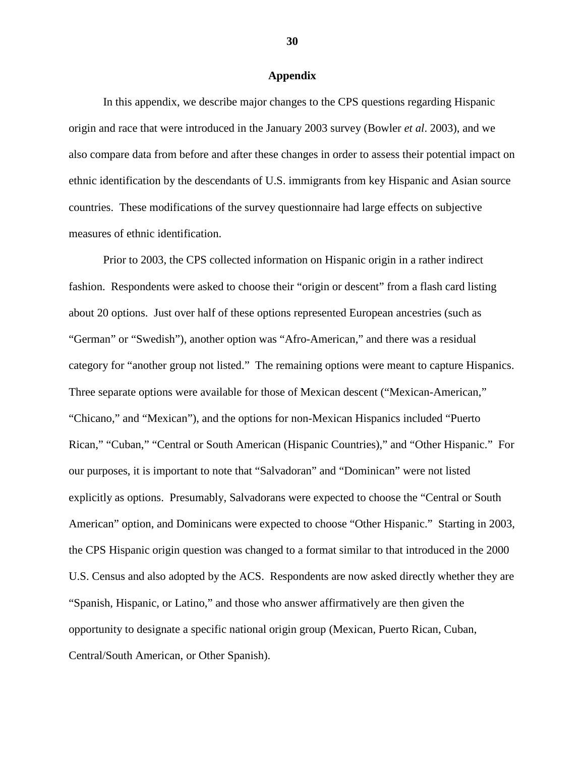#### **Appendix**

 In this appendix, we describe major changes to the CPS questions regarding Hispanic origin and race that were introduced in the January 2003 survey (Bowler *et al*. 2003), and we also compare data from before and after these changes in order to assess their potential impact on ethnic identification by the descendants of U.S. immigrants from key Hispanic and Asian source countries. These modifications of the survey questionnaire had large effects on subjective measures of ethnic identification.

 Prior to 2003, the CPS collected information on Hispanic origin in a rather indirect fashion. Respondents were asked to choose their "origin or descent" from a flash card listing about 20 options. Just over half of these options represented European ancestries (such as "German" or "Swedish"), another option was "Afro-American," and there was a residual category for "another group not listed." The remaining options were meant to capture Hispanics. Three separate options were available for those of Mexican descent ("Mexican-American," "Chicano," and "Mexican"), and the options for non-Mexican Hispanics included "Puerto Rican," "Cuban," "Central or South American (Hispanic Countries)," and "Other Hispanic." For our purposes, it is important to note that "Salvadoran" and "Dominican" were not listed explicitly as options. Presumably, Salvadorans were expected to choose the "Central or South American" option, and Dominicans were expected to choose "Other Hispanic." Starting in 2003, the CPS Hispanic origin question was changed to a format similar to that introduced in the 2000 U.S. Census and also adopted by the ACS. Respondents are now asked directly whether they are "Spanish, Hispanic, or Latino," and those who answer affirmatively are then given the opportunity to designate a specific national origin group (Mexican, Puerto Rican, Cuban, Central/South American, or Other Spanish).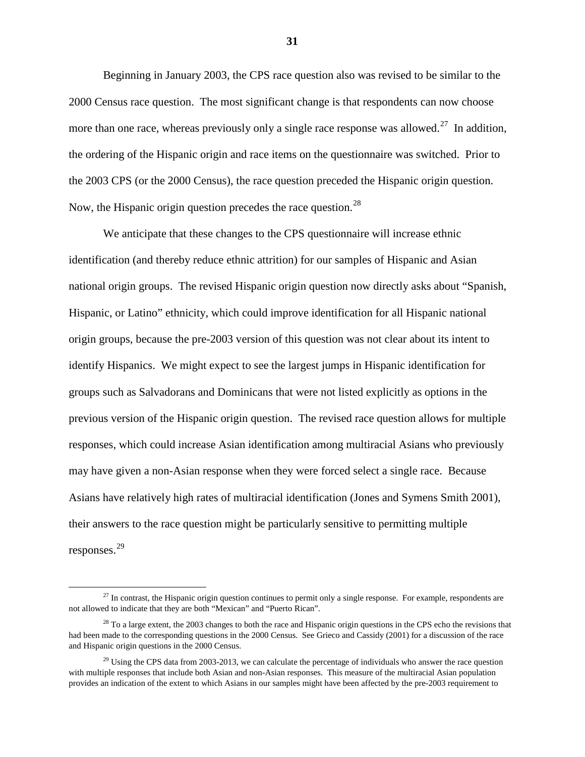Beginning in January 2003, the CPS race question also was revised to be similar to the 2000 Census race question. The most significant change is that respondents can now choose more than one race, whereas previously only a single race response was allowed.<sup>[27](#page-32-0)</sup> In addition, the ordering of the Hispanic origin and race items on the questionnaire was switched. Prior to the 2003 CPS (or the 2000 Census), the race question preceded the Hispanic origin question. Now, the Hispanic origin question precedes the race question.<sup>[28](#page-32-1)</sup>

We anticipate that these changes to the CPS questionnaire will increase ethnic identification (and thereby reduce ethnic attrition) for our samples of Hispanic and Asian national origin groups. The revised Hispanic origin question now directly asks about "Spanish, Hispanic, or Latino" ethnicity, which could improve identification for all Hispanic national origin groups, because the pre-2003 version of this question was not clear about its intent to identify Hispanics. We might expect to see the largest jumps in Hispanic identification for groups such as Salvadorans and Dominicans that were not listed explicitly as options in the previous version of the Hispanic origin question. The revised race question allows for multiple responses, which could increase Asian identification among multiracial Asians who previously may have given a non-Asian response when they were forced select a single race. Because Asians have relatively high rates of multiracial identification (Jones and Symens Smith 2001), their answers to the race question might be particularly sensitive to permitting multiple responses.[29](#page-32-2)

<span id="page-32-0"></span> $^{27}$  In contrast, the Hispanic origin question continues to permit only a single response. For example, respondents are not allowed to indicate that they are both "Mexican" and "Puerto Rican".

<span id="page-32-1"></span> $28$  To a large extent, the 2003 changes to both the race and Hispanic origin questions in the CPS echo the revisions that had been made to the corresponding questions in the 2000 Census. See Grieco and Cassidy (2001) for a discussion of the race and Hispanic origin questions in the 2000 Census.

<span id="page-32-2"></span> $29$  Using the CPS data from 2003-2013, we can calculate the percentage of individuals who answer the race question with multiple responses that include both Asian and non-Asian responses. This measure of the multiracial Asian population provides an indication of the extent to which Asians in our samples might have been affected by the pre-2003 requirement to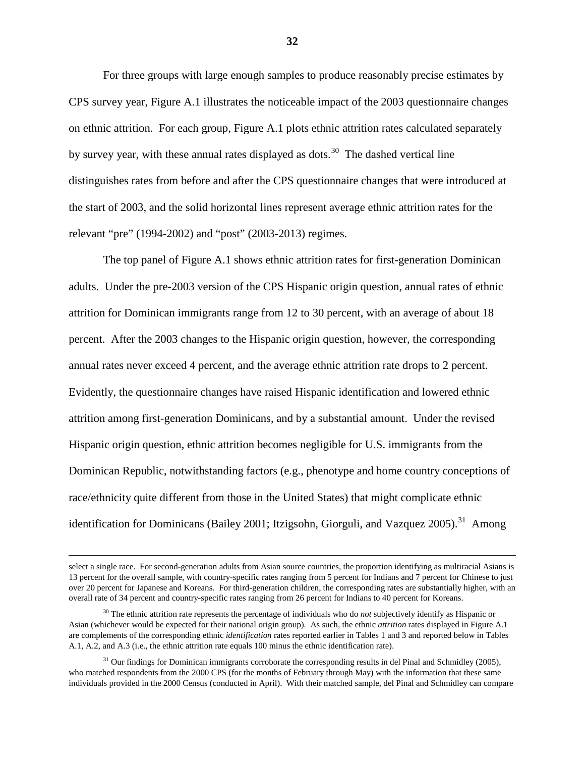For three groups with large enough samples to produce reasonably precise estimates by CPS survey year, Figure A.1 illustrates the noticeable impact of the 2003 questionnaire changes on ethnic attrition. For each group, Figure A.1 plots ethnic attrition rates calculated separately by survey year, with these annual rates displayed as dots.<sup>30</sup> The dashed vertical line distinguishes rates from before and after the CPS questionnaire changes that were introduced at the start of 2003, and the solid horizontal lines represent average ethnic attrition rates for the relevant "pre" (1994-2002) and "post" (2003-2013) regimes.

 The top panel of Figure A.1 shows ethnic attrition rates for first-generation Dominican adults. Under the pre-2003 version of the CPS Hispanic origin question, annual rates of ethnic attrition for Dominican immigrants range from 12 to 30 percent, with an average of about 18 percent. After the 2003 changes to the Hispanic origin question, however, the corresponding annual rates never exceed 4 percent, and the average ethnic attrition rate drops to 2 percent. Evidently, the questionnaire changes have raised Hispanic identification and lowered ethnic attrition among first-generation Dominicans, and by a substantial amount. Under the revised Hispanic origin question, ethnic attrition becomes negligible for U.S. immigrants from the Dominican Republic, notwithstanding factors (e.g., phenotype and home country conceptions of race/ethnicity quite different from those in the United States) that might complicate ethnic identification for Dominicans (Bailey 2001; Itzigsohn, Giorguli, and Vazquez 2005).<sup>31</sup> Among

select a single race. For second-generation adults from Asian source countries, the proportion identifying as multiracial Asians is 13 percent for the overall sample, with country-specific rates ranging from 5 percent for Indians and 7 percent for Chinese to just over 20 percent for Japanese and Koreans. For third-generation children, the corresponding rates are substantially higher, with an overall rate of 34 percent and country-specific rates ranging from 26 percent for Indians to 40 percent for Koreans.

<span id="page-33-0"></span><sup>30</sup> The ethnic attrition rate represents the percentage of individuals who do *not* subjectively identify as Hispanic or Asian (whichever would be expected for their national origin group). As such, the ethnic *attrition* rates displayed in Figure A.1 are complements of the corresponding ethnic *identification* rates reported earlier in Tables 1 and 3 and reported below in Tables A.1, A.2, and A.3 (i.e., the ethnic attrition rate equals 100 minus the ethnic identification rate).

<span id="page-33-1"></span><sup>&</sup>lt;sup>31</sup> Our findings for Dominican immigrants corroborate the corresponding results in del Pinal and Schmidley (2005), who matched respondents from the 2000 CPS (for the months of February through May) with the information that these same individuals provided in the 2000 Census (conducted in April). With their matched sample, del Pinal and Schmidley can compare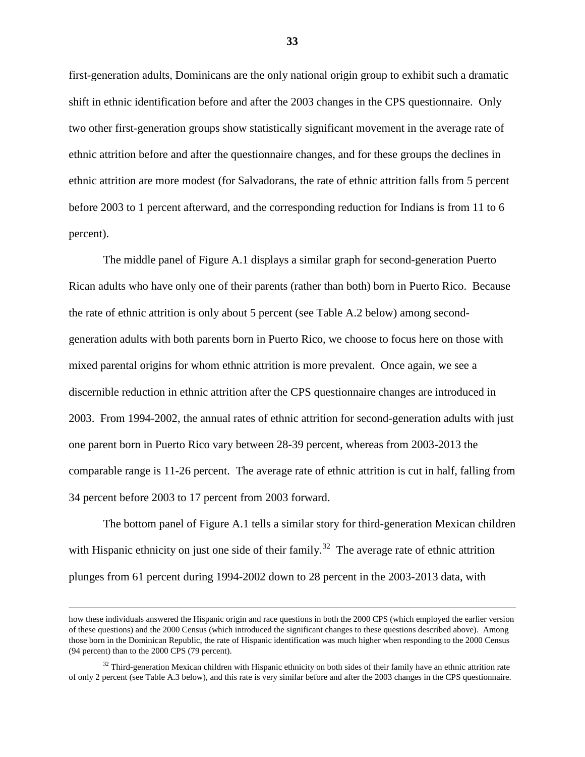first-generation adults, Dominicans are the only national origin group to exhibit such a dramatic shift in ethnic identification before and after the 2003 changes in the CPS questionnaire. Only two other first-generation groups show statistically significant movement in the average rate of ethnic attrition before and after the questionnaire changes, and for these groups the declines in ethnic attrition are more modest (for Salvadorans, the rate of ethnic attrition falls from 5 percent before 2003 to 1 percent afterward, and the corresponding reduction for Indians is from 11 to 6 percent).

 The middle panel of Figure A.1 displays a similar graph for second-generation Puerto Rican adults who have only one of their parents (rather than both) born in Puerto Rico. Because the rate of ethnic attrition is only about 5 percent (see Table A.2 below) among secondgeneration adults with both parents born in Puerto Rico, we choose to focus here on those with mixed parental origins for whom ethnic attrition is more prevalent. Once again, we see a discernible reduction in ethnic attrition after the CPS questionnaire changes are introduced in 2003. From 1994-2002, the annual rates of ethnic attrition for second-generation adults with just one parent born in Puerto Rico vary between 28-39 percent, whereas from 2003-2013 the comparable range is 11-26 percent. The average rate of ethnic attrition is cut in half, falling from 34 percent before 2003 to 17 percent from 2003 forward.

 The bottom panel of Figure A.1 tells a similar story for third-generation Mexican children with Hispanic ethnicity on just one side of their family.<sup>32</sup> The average rate of ethnic attrition plunges from 61 percent during 1994-2002 down to 28 percent in the 2003-2013 data, with

how these individuals answered the Hispanic origin and race questions in both the 2000 CPS (which employed the earlier version of these questions) and the 2000 Census (which introduced the significant changes to these questions described above). Among those born in the Dominican Republic, the rate of Hispanic identification was much higher when responding to the 2000 Census (94 percent) than to the 2000 CPS (79 percent).

<span id="page-34-0"></span> $32$  Third-generation Mexican children with Hispanic ethnicity on both sides of their family have an ethnic attrition rate of only 2 percent (see Table A.3 below), and this rate is very similar before and after the 2003 changes in the CPS questionnaire.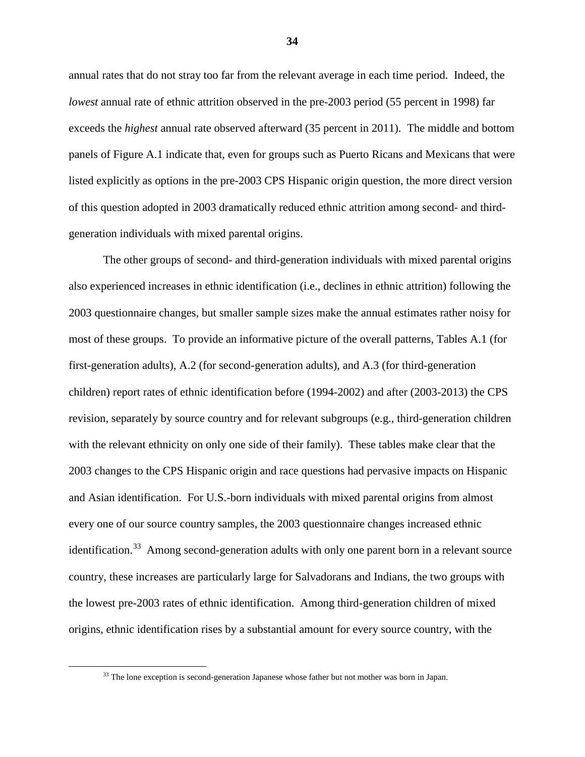annual rates that do not stray too far from the relevant average in each time period. Indeed, the *lowest* annual rate of ethnic attrition observed in the pre-2003 period (55 percent in 1998) far exceeds the *highest* annual rate observed afterward (35 percent in 2011). The middle and bottom panels of Figure A.1 indicate that, even for groups such as Puerto Ricans and Mexicans that were listed explicitly as options in the pre-2003 CPS Hispanic origin question, the more direct version of this question adopted in 2003 dramatically reduced ethnic attrition among second- and thirdgeneration individuals with mixed parental origins.

 The other groups of second- and third-generation individuals with mixed parental origins also experienced increases in ethnic identification (i.e., declines in ethnic attrition) following the 2003 questionnaire changes, but smaller sample sizes make the annual estimates rather noisy for most of these groups. To provide an informative picture of the overall patterns, Tables A.1 (for first-generation adults), A.2 (for second-generation adults), and A.3 (for third-generation children) report rates of ethnic identification before (1994-2002) and after (2003-2013) the CPS revision, separately by source country and for relevant subgroups (e.g., third-generation children with the relevant ethnicity on only one side of their family). These tables make clear that the 2003 changes to the CPS Hispanic origin and race questions had pervasive impacts on Hispanic and Asian identification. For U.S.-born individuals with mixed parental origins from almost every one of our source country samples, the 2003 questionnaire changes increased ethnic identification.<sup>33</sup> Among second-generation adults with only one parent born in a relevant source country, these increases are particularly large for Salvadorans and Indians, the two groups with the lowest pre-2003 rates of ethnic identification. Among third-generation children of mixed origins, ethnic identification rises by a substantial amount for every source country, with the

<span id="page-35-0"></span><sup>&</sup>lt;sup>33</sup> The lone exception is second-generation Japanese whose father but not mother was born in Japan.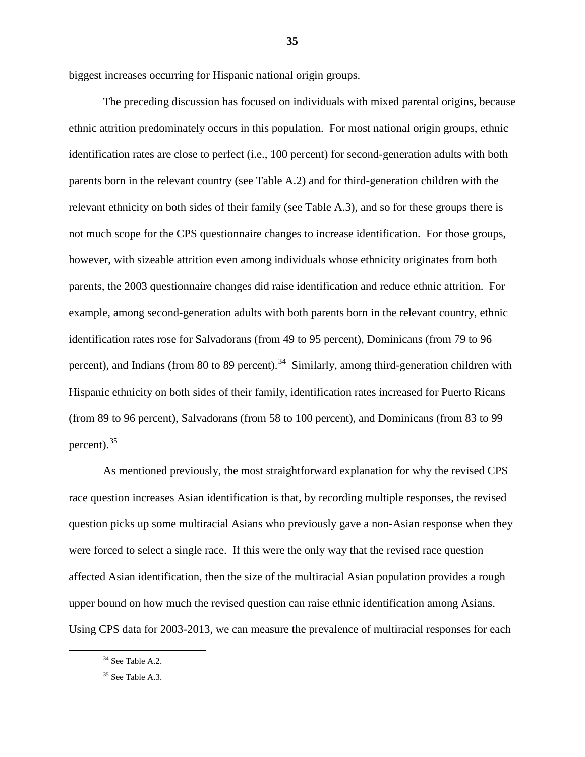biggest increases occurring for Hispanic national origin groups.

 The preceding discussion has focused on individuals with mixed parental origins, because ethnic attrition predominately occurs in this population. For most national origin groups, ethnic identification rates are close to perfect (i.e., 100 percent) for second-generation adults with both parents born in the relevant country (see Table A.2) and for third-generation children with the relevant ethnicity on both sides of their family (see Table A.3), and so for these groups there is not much scope for the CPS questionnaire changes to increase identification. For those groups, however, with sizeable attrition even among individuals whose ethnicity originates from both parents, the 2003 questionnaire changes did raise identification and reduce ethnic attrition. For example, among second-generation adults with both parents born in the relevant country, ethnic identification rates rose for Salvadorans (from 49 to 95 percent), Dominicans (from 79 to 96 percent), and Indians (from 80 to 89 percent).<sup>34</sup> Similarly, among third-generation children with Hispanic ethnicity on both sides of their family, identification rates increased for Puerto Ricans (from 89 to 96 percent), Salvadorans (from 58 to 100 percent), and Dominicans (from 83 to 99 percent).  $35$ 

 As mentioned previously, the most straightforward explanation for why the revised CPS race question increases Asian identification is that, by recording multiple responses, the revised question picks up some multiracial Asians who previously gave a non-Asian response when they were forced to select a single race. If this were the only way that the revised race question affected Asian identification, then the size of the multiracial Asian population provides a rough upper bound on how much the revised question can raise ethnic identification among Asians. Using CPS data for 2003-2013, we can measure the prevalence of multiracial responses for each

<span id="page-36-0"></span> $34$  See Table A.2.

<span id="page-36-1"></span> $35$  See Table A.3.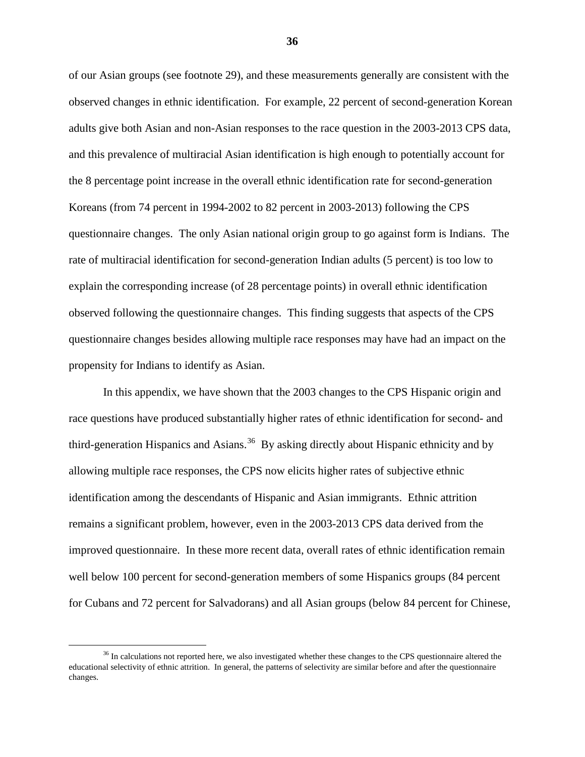of our Asian groups (see footnote 29), and these measurements generally are consistent with the observed changes in ethnic identification. For example, 22 percent of second-generation Korean adults give both Asian and non-Asian responses to the race question in the 2003-2013 CPS data, and this prevalence of multiracial Asian identification is high enough to potentially account for the 8 percentage point increase in the overall ethnic identification rate for second-generation Koreans (from 74 percent in 1994-2002 to 82 percent in 2003-2013) following the CPS questionnaire changes. The only Asian national origin group to go against form is Indians. The rate of multiracial identification for second-generation Indian adults (5 percent) is too low to explain the corresponding increase (of 28 percentage points) in overall ethnic identification observed following the questionnaire changes. This finding suggests that aspects of the CPS questionnaire changes besides allowing multiple race responses may have had an impact on the propensity for Indians to identify as Asian.

 In this appendix, we have shown that the 2003 changes to the CPS Hispanic origin and race questions have produced substantially higher rates of ethnic identification for second- and third-generation Hispanics and Asians.<sup>[36](#page-37-0)</sup> By asking directly about Hispanic ethnicity and by allowing multiple race responses, the CPS now elicits higher rates of subjective ethnic identification among the descendants of Hispanic and Asian immigrants. Ethnic attrition remains a significant problem, however, even in the 2003-2013 CPS data derived from the improved questionnaire. In these more recent data, overall rates of ethnic identification remain well below 100 percent for second-generation members of some Hispanics groups (84 percent for Cubans and 72 percent for Salvadorans) and all Asian groups (below 84 percent for Chinese,

<span id="page-37-0"></span><sup>&</sup>lt;sup>36</sup> In calculations not reported here, we also investigated whether these changes to the CPS questionnaire altered the educational selectivity of ethnic attrition. In general, the patterns of selectivity are similar before and after the questionnaire changes.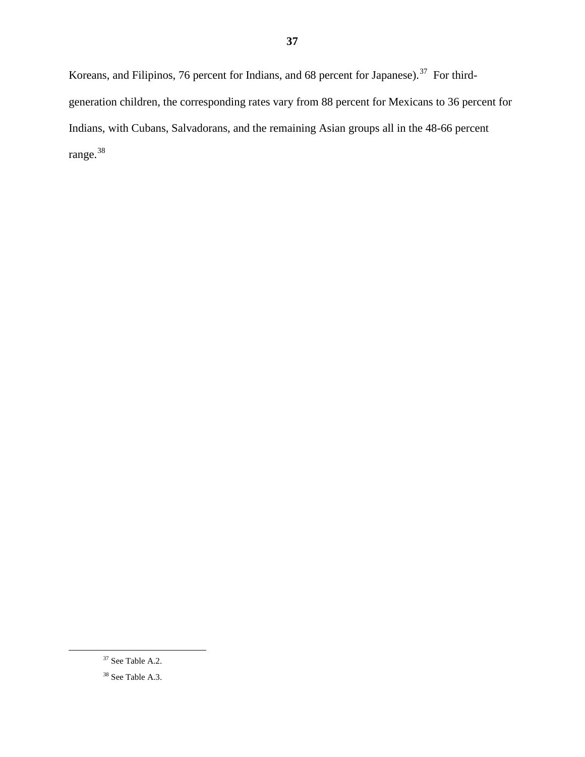Koreans, and Filipinos, 76 percent for Indians, and 68 percent for Japanese).<sup>37</sup> For thirdgeneration children, the corresponding rates vary from 88 percent for Mexicans to 36 percent for Indians, with Cubans, Salvadorans, and the remaining Asian groups all in the 48-66 percent range.[38](#page-38-1)

<span id="page-38-0"></span><sup>&</sup>lt;sup>37</sup> See Table A.2.

<span id="page-38-1"></span><sup>38</sup> See Table A.3.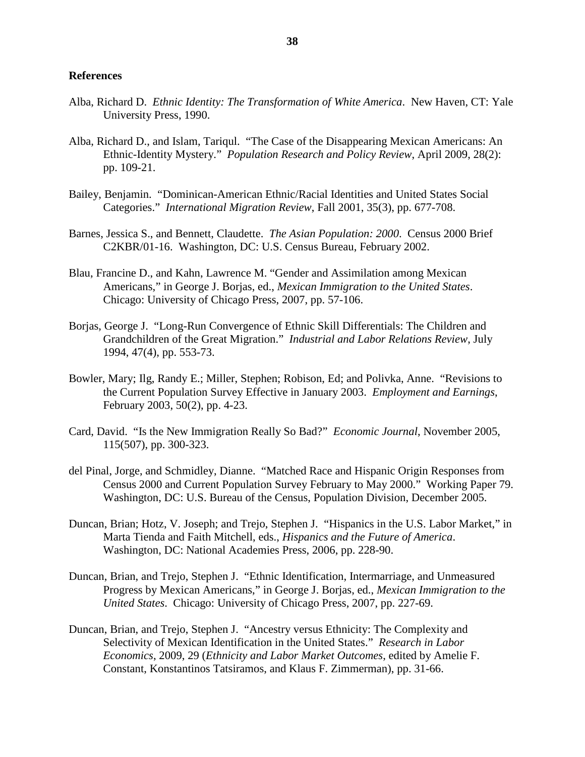### **References**

- Alba, Richard D. *Ethnic Identity: The Transformation of White America*. New Haven, CT: Yale University Press, 1990.
- Alba, Richard D., and Islam, Tariqul. "The Case of the Disappearing Mexican Americans: An Ethnic-Identity Mystery." *Population Research and Policy Review*, April 2009, 28(2): pp. 109-21.
- Bailey, Benjamin. "Dominican-American Ethnic/Racial Identities and United States Social Categories." *International Migration Review*, Fall 2001, 35(3), pp. 677-708.
- Barnes, Jessica S., and Bennett, Claudette. *The Asian Population: 2000*. Census 2000 Brief C2KBR/01-16. Washington, DC: U.S. Census Bureau, February 2002.
- Blau, Francine D., and Kahn, Lawrence M. "Gender and Assimilation among Mexican Americans," in George J. Borjas, ed., *Mexican Immigration to the United States*. Chicago: University of Chicago Press, 2007, pp. 57-106.
- Borjas, George J. "Long-Run Convergence of Ethnic Skill Differentials: The Children and Grandchildren of the Great Migration." *Industrial and Labor Relations Review*, July 1994, 47(4), pp. 553-73.
- Bowler, Mary; Ilg, Randy E.; Miller, Stephen; Robison, Ed; and Polivka, Anne. "Revisions to the Current Population Survey Effective in January 2003. *Employment and Earnings*, February 2003, 50(2), pp. 4-23.
- Card, David. "Is the New Immigration Really So Bad?" *Economic Journal*, November 2005, 115(507), pp. 300-323.
- del Pinal, Jorge, and Schmidley, Dianne. "Matched Race and Hispanic Origin Responses from Census 2000 and Current Population Survey February to May 2000." Working Paper 79. Washington, DC: U.S. Bureau of the Census, Population Division, December 2005.
- Duncan, Brian; Hotz, V. Joseph; and Trejo, Stephen J. "Hispanics in the U.S. Labor Market," in Marta Tienda and Faith Mitchell, eds., *Hispanics and the Future of America*. Washington, DC: National Academies Press, 2006, pp. 228-90.
- Duncan, Brian, and Trejo, Stephen J. "Ethnic Identification, Intermarriage, and Unmeasured Progress by Mexican Americans," in George J. Borjas, ed., *Mexican Immigration to the United States*. Chicago: University of Chicago Press, 2007, pp. 227-69.
- Duncan, Brian, and Trejo, Stephen J. "Ancestry versus Ethnicity: The Complexity and Selectivity of Mexican Identification in the United States." *Research in Labor Economics*, 2009, 29 (*Ethnicity and Labor Market Outcomes*, edited by Amelie F. Constant, Konstantinos Tatsiramos, and Klaus F. Zimmerman), pp. 31-66.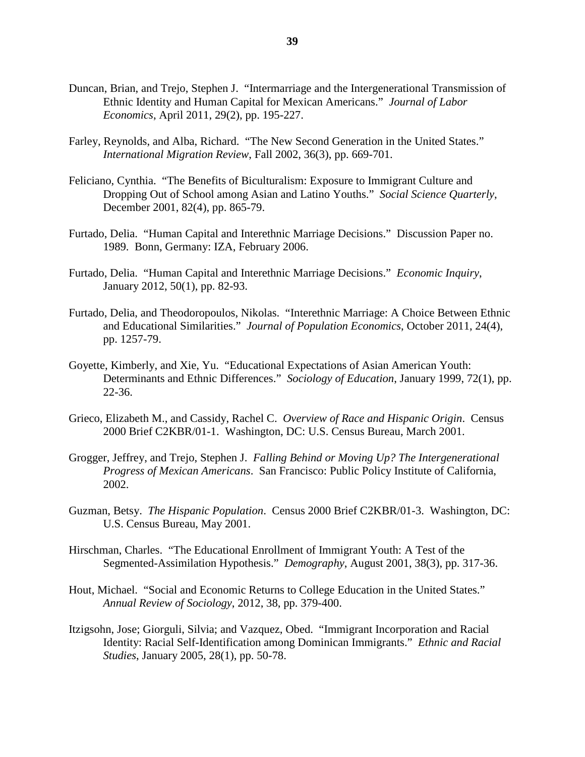- Duncan, Brian, and Trejo, Stephen J. "Intermarriage and the Intergenerational Transmission of Ethnic Identity and Human Capital for Mexican Americans." *Journal of Labor Economics*, April 2011, 29(2), pp. 195-227.
- Farley, Reynolds, and Alba, Richard. "The New Second Generation in the United States." *International Migration Review*, Fall 2002, 36(3), pp. 669-701.
- Feliciano, Cynthia. "The Benefits of Biculturalism: Exposure to Immigrant Culture and Dropping Out of School among Asian and Latino Youths." *Social Science Quarterly*, December 2001, 82(4), pp. 865-79.
- Furtado, Delia. "Human Capital and Interethnic Marriage Decisions." Discussion Paper no. 1989. Bonn, Germany: IZA, February 2006.
- Furtado, Delia. "Human Capital and Interethnic Marriage Decisions." *Economic Inquiry*, January 2012, 50(1), pp. 82-93.
- Furtado, Delia, and Theodoropoulos, Nikolas. "Interethnic Marriage: A Choice Between Ethnic and Educational Similarities." *Journal of Population Economics*, October 2011, 24(4), pp. 1257-79.
- Goyette, Kimberly, and Xie, Yu. "Educational Expectations of Asian American Youth: Determinants and Ethnic Differences." *Sociology of Education*, January 1999, 72(1), pp. 22-36.
- Grieco, Elizabeth M., and Cassidy, Rachel C. *Overview of Race and Hispanic Origin*. Census 2000 Brief C2KBR/01-1. Washington, DC: U.S. Census Bureau, March 2001.
- Grogger, Jeffrey, and Trejo, Stephen J. *Falling Behind or Moving Up? The Intergenerational Progress of Mexican Americans*. San Francisco: Public Policy Institute of California, 2002.
- Guzman, Betsy. *The Hispanic Population*. Census 2000 Brief C2KBR/01-3. Washington, DC: U.S. Census Bureau, May 2001.
- Hirschman, Charles. "The Educational Enrollment of Immigrant Youth: A Test of the Segmented-Assimilation Hypothesis." *Demography*, August 2001, 38(3), pp. 317-36.
- Hout, Michael. "Social and Economic Returns to College Education in the United States." *Annual Review of Sociology*, 2012, 38, pp. 379-400.
- Itzigsohn, Jose; Giorguli, Silvia; and Vazquez, Obed. "Immigrant Incorporation and Racial Identity: Racial Self-Identification among Dominican Immigrants." *Ethnic and Racial Studies*, January 2005, 28(1), pp. 50-78.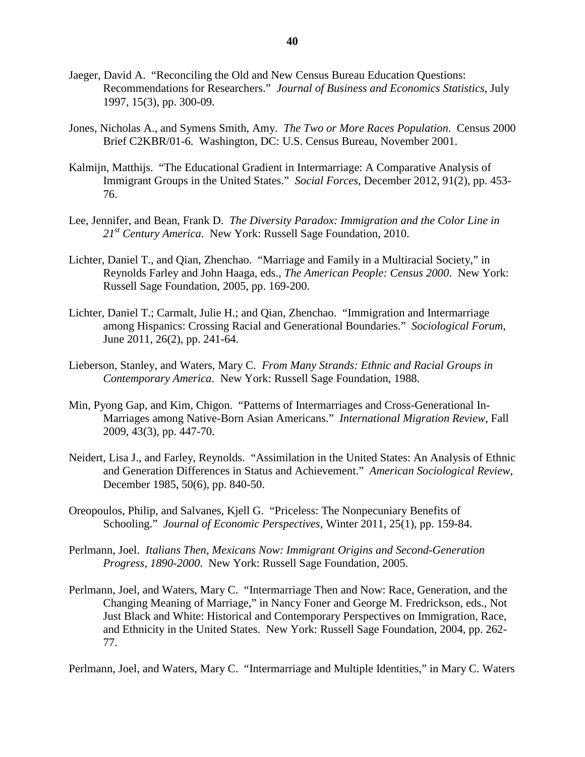- Jaeger, David A. "Reconciling the Old and New Census Bureau Education Questions: Recommendations for Researchers." *Journal of Business and Economics Statistics*, July 1997, 15(3), pp. 300-09.
- Jones, Nicholas A., and Symens Smith, Amy. *The Two or More Races Population*. Census 2000 Brief C2KBR/01-6. Washington, DC: U.S. Census Bureau, November 2001.
- Kalmijn, Matthijs. "The Educational Gradient in Intermarriage: A Comparative Analysis of Immigrant Groups in the United States." *Social Forces*, December 2012, 91(2), pp. 453- 76.
- Lee, Jennifer, and Bean, Frank D. *The Diversity Paradox: Immigration and the Color Line in 21st Century America*. New York: Russell Sage Foundation, 2010.
- Lichter, Daniel T., and Qian, Zhenchao. "Marriage and Family in a Multiracial Society," in Reynolds Farley and John Haaga, eds., *The American People: Census 2000*. New York: Russell Sage Foundation, 2005, pp. 169-200.
- Lichter, Daniel T.; Carmalt, Julie H.; and Qian, Zhenchao. "Immigration and Intermarriage among Hispanics: Crossing Racial and Generational Boundaries." *Sociological Forum*, June 2011, 26(2), pp. 241-64.
- Lieberson, Stanley, and Waters, Mary C. *From Many Strands: Ethnic and Racial Groups in Contemporary America*. New York: Russell Sage Foundation, 1988.
- Min, Pyong Gap, and Kim, Chigon. "Patterns of Intermarriages and Cross-Generational In-Marriages among Native-Born Asian Americans." *International Migration Review*, Fall 2009, 43(3), pp. 447-70.
- Neidert, Lisa J., and Farley, Reynolds. "Assimilation in the United States: An Analysis of Ethnic and Generation Differences in Status and Achievement." *American Sociological Review*, December 1985, 50(6), pp. 840-50.
- Oreopoulos, Philip, and Salvanes, Kjell G. "Priceless: The Nonpecuniary Benefits of Schooling." *Journal of Economic Perspectives*, Winter 2011, 25(1), pp. 159-84.
- Perlmann, Joel. *Italians Then, Mexicans Now: Immigrant Origins and Second-Generation Progress, 1890-2000*. New York: Russell Sage Foundation, 2005.
- Perlmann, Joel, and Waters, Mary C. "Intermarriage Then and Now: Race, Generation, and the Changing Meaning of Marriage," in Nancy Foner and George M. Fredrickson, eds., Not Just Black and White: Historical and Contemporary Perspectives on Immigration, Race, and Ethnicity in the United States. New York: Russell Sage Foundation, 2004, pp. 262- 77.

Perlmann, Joel, and Waters, Mary C. "Intermarriage and Multiple Identities," in Mary C. Waters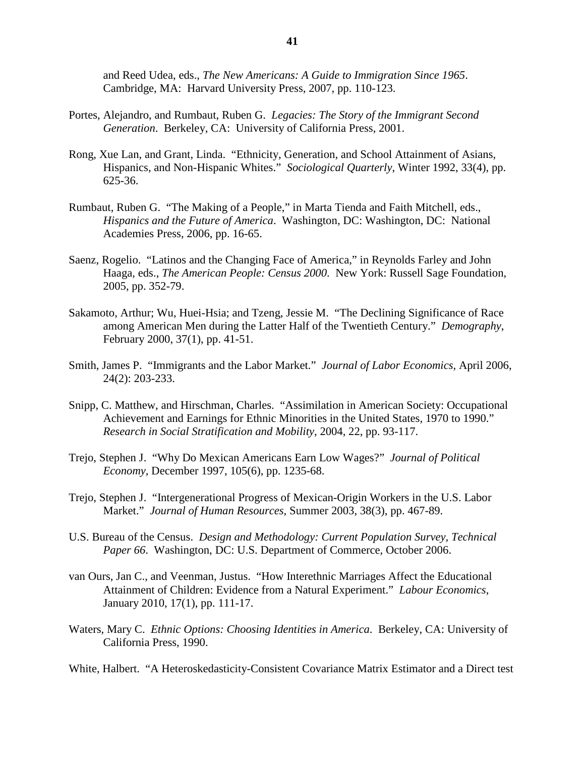and Reed Udea, eds., *The New Americans: A Guide to Immigration Since 1965*. Cambridge, MA: Harvard University Press, 2007, pp. 110-123.

- Portes, Alejandro, and Rumbaut, Ruben G. *Legacies: The Story of the Immigrant Second Generation*. Berkeley, CA: University of California Press, 2001.
- Rong, Xue Lan, and Grant, Linda. "Ethnicity, Generation, and School Attainment of Asians, Hispanics, and Non-Hispanic Whites." *Sociological Quarterly*, Winter 1992, 33(4), pp. 625-36.
- Rumbaut, Ruben G. "The Making of a People," in Marta Tienda and Faith Mitchell, eds., *Hispanics and the Future of America*. Washington, DC: Washington, DC: National Academies Press, 2006, pp. 16-65.
- Saenz, Rogelio. "Latinos and the Changing Face of America," in Reynolds Farley and John Haaga, eds., *The American People: Census 2000*. New York: Russell Sage Foundation, 2005, pp. 352-79.
- Sakamoto, Arthur; Wu, Huei-Hsia; and Tzeng, Jessie M. "The Declining Significance of Race among American Men during the Latter Half of the Twentieth Century." *Demography*, February 2000, 37(1), pp. 41-51.
- Smith, James P. "Immigrants and the Labor Market." *Journal of Labor Economics*, April 2006, 24(2): 203-233.
- Snipp, C. Matthew, and Hirschman, Charles. "Assimilation in American Society: Occupational Achievement and Earnings for Ethnic Minorities in the United States, 1970 to 1990." *Research in Social Stratification and Mobility*, 2004, 22, pp. 93-117.
- Trejo, Stephen J. "Why Do Mexican Americans Earn Low Wages?" *Journal of Political Economy*, December 1997, 105(6), pp. 1235-68.
- Trejo, Stephen J. "Intergenerational Progress of Mexican-Origin Workers in the U.S. Labor Market." *Journal of Human Resources*, Summer 2003, 38(3), pp. 467-89.
- U.S. Bureau of the Census. *Design and Methodology: Current Population Survey, Technical Paper 66*. Washington, DC: U.S. Department of Commerce, October 2006.
- van Ours, Jan C., and Veenman, Justus. "How Interethnic Marriages Affect the Educational Attainment of Children: Evidence from a Natural Experiment." *Labour Economics*, January 2010, 17(1), pp. 111-17.
- Waters, Mary C. *Ethnic Options: Choosing Identities in America*. Berkeley, CA: University of California Press, 1990.

White, Halbert. "A Heteroskedasticity-Consistent Covariance Matrix Estimator and a Direct test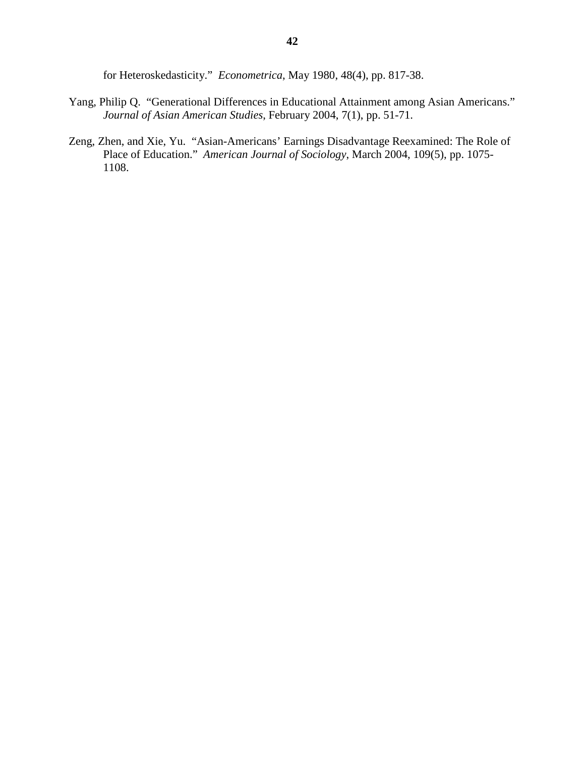for Heteroskedasticity." *Econometrica*, May 1980, 48(4), pp. 817-38.

- Yang, Philip Q. "Generational Differences in Educational Attainment among Asian Americans." *Journal of Asian American Studies*, February 2004, 7(1), pp. 51-71.
- Zeng, Zhen, and Xie, Yu. "Asian-Americans' Earnings Disadvantage Reexamined: The Role of Place of Education." *American Journal of Sociology*, March 2004, 109(5), pp. 1075- 1108.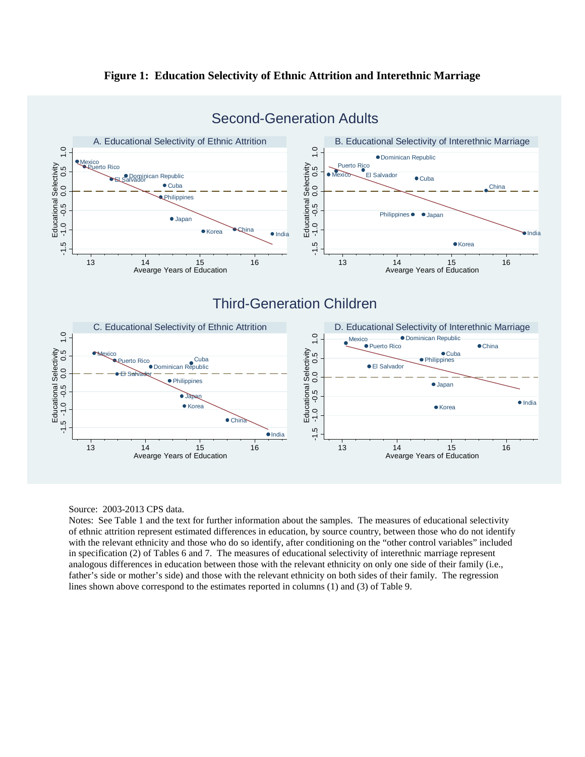



Second-Generation Adults

Source: 2003-2013 CPS data.

Notes: See Table 1 and the text for further information about the samples. The measures of educational selectivity of ethnic attrition represent estimated differences in education, by source country, between those who do not identify with the relevant ethnicity and those who do so identify, after conditioning on the "other control variables" included in specification (2) of Tables 6 and 7. The measures of educational selectivity of interethnic marriage represent analogous differences in education between those with the relevant ethnicity on only one side of their family (i.e., father's side or mother's side) and those with the relevant ethnicity on both sides of their family. The regression lines shown above correspond to the estimates reported in columns (1) and (3) of Table 9.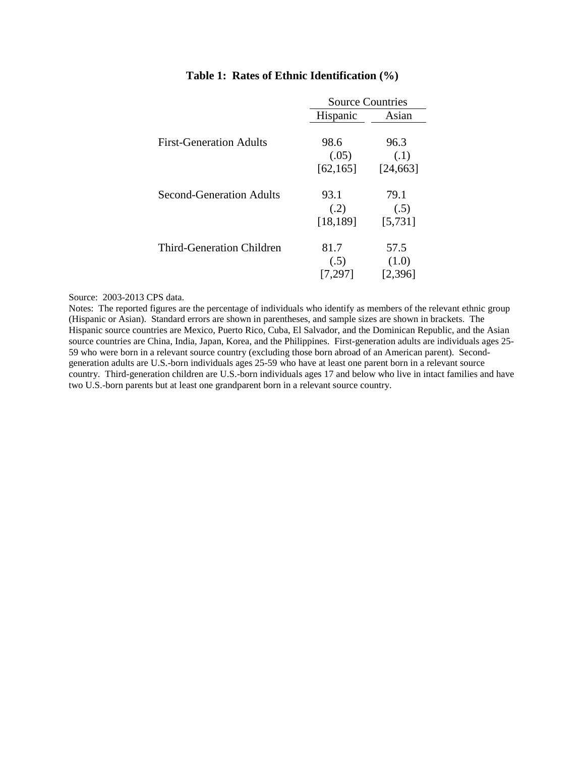|                                  | <b>Source Countries</b> |           |
|----------------------------------|-------------------------|-----------|
|                                  | Hispanic                | Asian     |
|                                  |                         |           |
| <b>First-Generation Adults</b>   | 98.6                    | 96.3      |
|                                  | (.05)                   | (.1)      |
|                                  | [62, 165]               | [24, 663] |
| Second-Generation Adults         | 93.1                    | 79.1      |
|                                  | (.2)                    | (.5)      |
|                                  | [18, 189]               | [5, 731]  |
| <b>Third-Generation Children</b> | 81.7                    | 57.5      |
|                                  | (.5)                    | (1.0)     |
|                                  | [7,297]                 | [2,396]   |

### **Table 1: Rates of Ethnic Identification (%)**

#### Source: 2003-2013 CPS data.

Notes: The reported figures are the percentage of individuals who identify as members of the relevant ethnic group (Hispanic or Asian). Standard errors are shown in parentheses, and sample sizes are shown in brackets. The Hispanic source countries are Mexico, Puerto Rico, Cuba, El Salvador, and the Dominican Republic, and the Asian source countries are China, India, Japan, Korea, and the Philippines. First-generation adults are individuals ages 25- 59 who were born in a relevant source country (excluding those born abroad of an American parent). Secondgeneration adults are U.S.-born individuals ages 25-59 who have at least one parent born in a relevant source country. Third-generation children are U.S.-born individuals ages 17 and below who live in intact families and have two U.S.-born parents but at least one grandparent born in a relevant source country.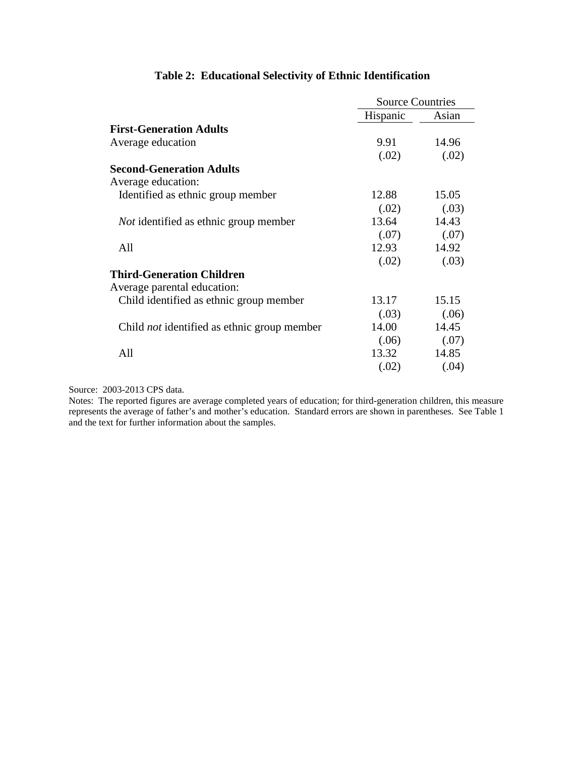|                                                    | <b>Source Countries</b> |       |  |
|----------------------------------------------------|-------------------------|-------|--|
|                                                    | Hispanic                | Asian |  |
| <b>First-Generation Adults</b>                     |                         |       |  |
| Average education                                  | 9.91                    | 14.96 |  |
|                                                    | (.02)                   | (.02) |  |
| <b>Second-Generation Adults</b>                    |                         |       |  |
| Average education:                                 |                         |       |  |
| Identified as ethnic group member                  | 12.88                   | 15.05 |  |
|                                                    | (.02)                   | (.03) |  |
| <i>Not</i> identified as ethnic group member       | 13.64                   | 14.43 |  |
|                                                    | (.07)                   | (.07) |  |
| All                                                | 12.93                   | 14.92 |  |
|                                                    | (.02)                   | (.03) |  |
| <b>Third-Generation Children</b>                   |                         |       |  |
| Average parental education:                        |                         |       |  |
| Child identified as ethnic group member            | 13.17                   | 15.15 |  |
|                                                    | (.03)                   | (.06) |  |
| Child <i>not</i> identified as ethnic group member | 14.00                   | 14.45 |  |
|                                                    | (.06)                   | (.07) |  |
| All                                                | 13.32                   | 14.85 |  |
|                                                    | (.02)                   | (.04) |  |

# **Table 2: Educational Selectivity of Ethnic Identification**

Source: 2003-2013 CPS data.

Notes: The reported figures are average completed years of education; for third-generation children, this measure represents the average of father's and mother's education. Standard errors are shown in parentheses. See Table 1 and the text for further information about the samples.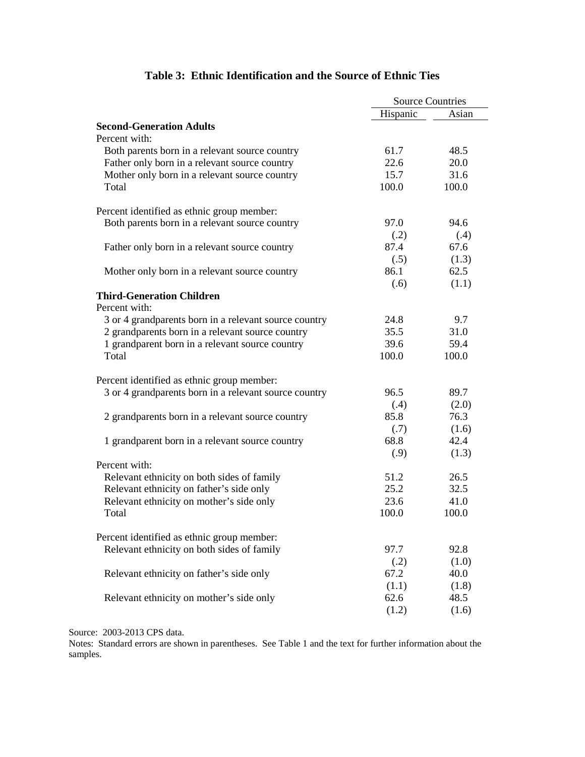| Hispanic<br>Asian                                                     |      |
|-----------------------------------------------------------------------|------|
| <b>Second-Generation Adults</b>                                       |      |
| Percent with:                                                         |      |
| 61.7<br>48.5<br>Both parents born in a relevant source country        |      |
| Father only born in a relevant source country<br>22.6<br>20.0         |      |
| 15.7<br>Mother only born in a relevant source country<br>31.6         |      |
| 100.0<br>Total<br>100.0                                               |      |
| Percent identified as ethnic group member:                            |      |
| Both parents born in a relevant source country<br>97.0<br>94.6        |      |
| (.2)                                                                  | (.4) |
| 87.4<br>67.6<br>Father only born in a relevant source country         |      |
| (.5)<br>(1.3)                                                         |      |
| 86.1<br>62.5<br>Mother only born in a relevant source country         |      |
| (1.1)<br>(.6)                                                         |      |
| <b>Third-Generation Children</b>                                      |      |
| Percent with:                                                         |      |
| 3 or 4 grandparents born in a relevant source country<br>24.8<br>9.7  |      |
| 35.5<br>2 grandparents born in a relevant source country<br>31.0      |      |
| 1 grandparent born in a relevant source country<br>39.6<br>59.4       |      |
| Total<br>100.0<br>100.0                                               |      |
| Percent identified as ethnic group member:                            |      |
| 3 or 4 grandparents born in a relevant source country<br>96.5<br>89.7 |      |
| (.4)<br>(2.0)                                                         |      |
| 2 grandparents born in a relevant source country<br>85.8<br>76.3      |      |
| (.7)<br>(1.6)                                                         |      |
| 1 grandparent born in a relevant source country<br>68.8<br>42.4       |      |
| (.9)<br>(1.3)                                                         |      |
| Percent with:                                                         |      |
| Relevant ethnicity on both sides of family<br>51.2<br>26.5            |      |
| Relevant ethnicity on father's side only<br>25.2<br>32.5              |      |
| 23.6<br>Relevant ethnicity on mother's side only<br>41.0              |      |
| Total<br>100.0<br>100.0                                               |      |
| Percent identified as ethnic group member:                            |      |
| Relevant ethnicity on both sides of family<br>97.7<br>92.8            |      |
| (1.0)<br>(.2)                                                         |      |
| Relevant ethnicity on father's side only<br>40.0<br>67.2              |      |
| (1.1)<br>(1.8)                                                        |      |
| Relevant ethnicity on mother's side only<br>62.6<br>48.5              |      |
| (1.2)<br>(1.6)                                                        |      |

# **Table 3: Ethnic Identification and the Source of Ethnic Ties**

Source: 2003-2013 CPS data.

Notes: Standard errors are shown in parentheses. See Table 1 and the text for further information about the samples.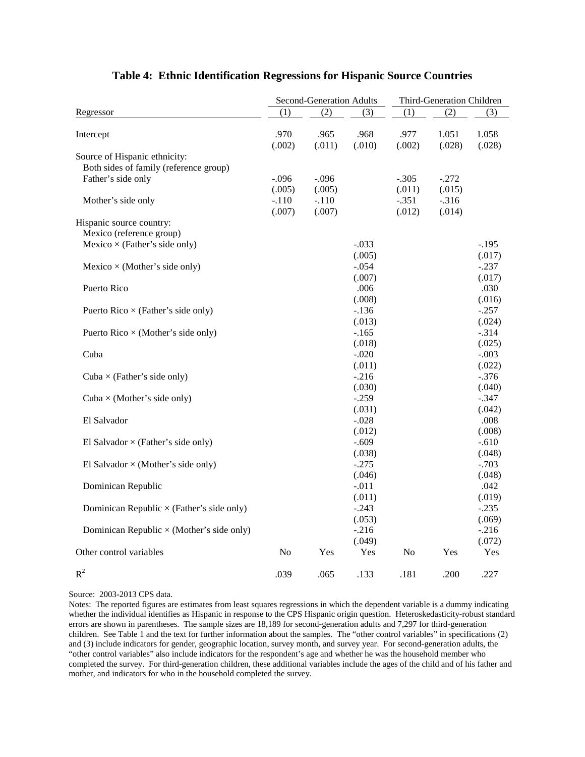|                                                  |         | Second-Generation Adults |                   |         | Third-Generation Children |                   |
|--------------------------------------------------|---------|--------------------------|-------------------|---------|---------------------------|-------------------|
| Regressor                                        | (1)     | (2)                      | (3)               | (1)     | (2)                       | (3)               |
| Intercept                                        | .970    | .965                     | .968              | .977    | 1.051                     | 1.058             |
|                                                  | (.002)  | (.011)                   | (.010)            | (.002)  | (.028)                    | (.028)            |
| Source of Hispanic ethnicity:                    |         |                          |                   |         |                           |                   |
| Both sides of family (reference group)           |         |                          |                   |         |                           |                   |
| Father's side only                               | $-.096$ | $-.096$                  |                   | $-.305$ | $-.272$                   |                   |
|                                                  | (.005)  | (.005)                   |                   | (.011)  | (.015)                    |                   |
| Mother's side only                               | $-.110$ | $-.110$                  |                   | $-.351$ | $-.316$                   |                   |
|                                                  | (.007)  | (.007)                   |                   | (.012)  | (.014)                    |                   |
| Hispanic source country:                         |         |                          |                   |         |                           |                   |
| Mexico (reference group)                         |         |                          |                   |         |                           |                   |
| Mexico $\times$ (Father's side only)             |         |                          | $-.033$           |         |                           | $-.195$           |
|                                                  |         |                          | (.005)            |         |                           | (.017)            |
| Mexico $\times$ (Mother's side only)             |         |                          | $-.054$           |         |                           | $-.237$           |
|                                                  |         |                          | (.007)            |         |                           | (.017)            |
| Puerto Rico                                      |         |                          | .006              |         |                           | .030              |
|                                                  |         |                          | (.008)            |         |                           | (.016)            |
| Puerto Rico $\times$ (Father's side only)        |         |                          | $-.136$           |         |                           | $-.257$           |
|                                                  |         |                          | (.013)            |         |                           | (.024)            |
| Puerto Rico $\times$ (Mother's side only)        |         |                          | $-.165$           |         |                           | $-.314$           |
| Cuba                                             |         |                          | (.018)<br>$-.020$ |         |                           | (.025)<br>$-.003$ |
|                                                  |         |                          | (.011)            |         |                           | (.022)            |
| Cuba $\times$ (Father's side only)               |         |                          | $-.216$           |         |                           | $-.376$           |
|                                                  |         |                          | (.030)            |         |                           | (.040)            |
| Cuba $\times$ (Mother's side only)               |         |                          | $-.259$           |         |                           | $-.347$           |
|                                                  |         |                          | (.031)            |         |                           | (.042)            |
| El Salvador                                      |         |                          | $-.028$           |         |                           | .008              |
|                                                  |         |                          | (.012)            |         |                           | (.008)            |
| El Salvador $\times$ (Father's side only)        |         |                          | $-.609$           |         |                           | $-.610$           |
|                                                  |         |                          | (.038)            |         |                           | (.048)            |
| El Salvador $\times$ (Mother's side only)        |         |                          | $-.275$           |         |                           | $-.703$           |
|                                                  |         |                          | (.046)            |         |                           | (.048)            |
| Dominican Republic                               |         |                          | $-.011$           |         |                           | .042              |
|                                                  |         |                          | (.011)            |         |                           | (.019)            |
| Dominican Republic $\times$ (Father's side only) |         |                          | $-.243$           |         |                           | $-.235$           |
|                                                  |         |                          | (.053)            |         |                           | (.069)            |
| Dominican Republic $\times$ (Mother's side only) |         |                          | $-.216$           |         |                           | $-.216$           |
|                                                  |         |                          | (.049)            |         |                           | (.072)            |
| Other control variables                          | No      | Yes                      | Yes               | No      | Yes                       | Yes               |
| ${\bf R}^2$                                      | .039    | .065                     | .133              | .181    | .200                      | .227              |

# **Table 4: Ethnic Identification Regressions for Hispanic Source Countries**

Source: 2003-2013 CPS data.

Notes: The reported figures are estimates from least squares regressions in which the dependent variable is a dummy indicating whether the individual identifies as Hispanic in response to the CPS Hispanic origin question. Heteroskedasticity-robust standard errors are shown in parentheses. The sample sizes are 18,189 for second-generation adults and 7,297 for third-generation children. See Table 1 and the text for further information about the samples. The "other control variables" in specifications (2) and (3) include indicators for gender, geographic location, survey month, and survey year. For second-generation adults, the "other control variables" also include indicators for the respondent's age and whether he was the household member who completed the survey. For third-generation children, these additional variables include the ages of the child and of his father and mother, and indicators for who in the household completed the survey.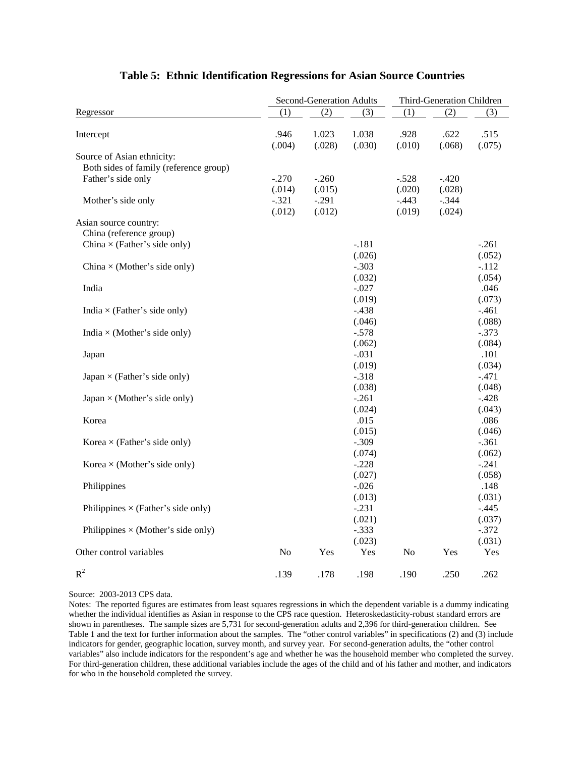|                                           |         | <b>Second-Generation Adults</b> | Third-Generation Children |                |         |         |
|-------------------------------------------|---------|---------------------------------|---------------------------|----------------|---------|---------|
| Regressor                                 | (1)     | (2)                             | (3)                       | (1)            | (2)     | (3)     |
| Intercept                                 | .946    | 1.023                           | 1.038                     | .928           | .622    | .515    |
|                                           | (.004)  | (.028)                          | (.030)                    | (.010)         | (.068)  | (.075)  |
| Source of Asian ethnicity:                |         |                                 |                           |                |         |         |
| Both sides of family (reference group)    |         |                                 |                           |                |         |         |
| Father's side only                        | $-.270$ | $-.260$                         |                           | $-.528$        | $-.420$ |         |
|                                           | (.014)  | (.015)                          |                           | (.020)         | (.028)  |         |
| Mother's side only                        | $-.321$ | $-.291$                         |                           | $-.443$        | $-.344$ |         |
|                                           | (.012)  | (.012)                          |                           | (.019)         | (.024)  |         |
| Asian source country:                     |         |                                 |                           |                |         |         |
| China (reference group)                   |         |                                 |                           |                |         |         |
| China $\times$ (Father's side only)       |         |                                 | $-.181$                   |                |         | $-.261$ |
|                                           |         |                                 | (.026)                    |                |         | (.052)  |
| China $\times$ (Mother's side only)       |         |                                 | $-.303$                   |                |         | $-.112$ |
|                                           |         |                                 | (.032)                    |                |         | (.054)  |
| India                                     |         |                                 | $-.027$                   |                |         | .046    |
|                                           |         |                                 | (.019)                    |                |         | (.073)  |
| India $\times$ (Father's side only)       |         |                                 | $-.438$                   |                |         | $-.461$ |
|                                           |         |                                 | (.046)                    |                |         | (.088)  |
| India $\times$ (Mother's side only)       |         |                                 | $-.578$                   |                |         | $-.373$ |
|                                           |         |                                 | (.062)                    |                |         | (.084)  |
| Japan                                     |         |                                 | $-.031$                   |                |         | .101    |
|                                           |         |                                 | (.019)                    |                |         | (.034)  |
| Japan $\times$ (Father's side only)       |         |                                 | $-.318$                   |                |         | $-.471$ |
|                                           |         |                                 | (.038)                    |                |         | (.048)  |
| Japan $\times$ (Mother's side only)       |         |                                 | $-.261$                   |                |         | $-.428$ |
|                                           |         |                                 | (.024)                    |                |         | (.043)  |
| Korea                                     |         |                                 | .015                      |                |         | .086    |
|                                           |         |                                 | (.015)                    |                |         | (.046)  |
| Korea $\times$ (Father's side only)       |         |                                 | $-.309$                   |                |         | $-.361$ |
|                                           |         |                                 | (.074)                    |                |         | (.062)  |
| Korea $\times$ (Mother's side only)       |         |                                 | $-.228$                   |                |         | $-.241$ |
|                                           |         |                                 | (.027)                    |                |         | (.058)  |
| Philippines                               |         |                                 | $-.026$                   |                |         | .148    |
|                                           |         |                                 | (.013)                    |                |         | (.031)  |
| Philippines $\times$ (Father's side only) |         |                                 | $-.231$                   |                |         | $-.445$ |
|                                           |         |                                 | (.021)                    |                |         | (.037)  |
| Philippines $\times$ (Mother's side only) |         |                                 | $-.333$                   |                |         | $-.372$ |
|                                           |         |                                 | (.023)                    |                |         | (.031)  |
| Other control variables                   | No      | Yes                             | Yes                       | N <sub>o</sub> | Yes     | Yes     |
| $R^2$                                     | .139    | .178                            | .198                      | .190           | .250    | .262    |

### **Table 5: Ethnic Identification Regressions for Asian Source Countries**

Source: 2003-2013 CPS data.

Notes: The reported figures are estimates from least squares regressions in which the dependent variable is a dummy indicating whether the individual identifies as Asian in response to the CPS race question. Heteroskedasticity-robust standard errors are shown in parentheses. The sample sizes are 5,731 for second-generation adults and 2,396 for third-generation children. See Table 1 and the text for further information about the samples. The "other control variables" in specifications (2) and (3) include indicators for gender, geographic location, survey month, and survey year. For second-generation adults, the "other control variables" also include indicators for the respondent's age and whether he was the household member who completed the survey. For third-generation children, these additional variables include the ages of the child and of his father and mother, and indicators for who in the household completed the survey.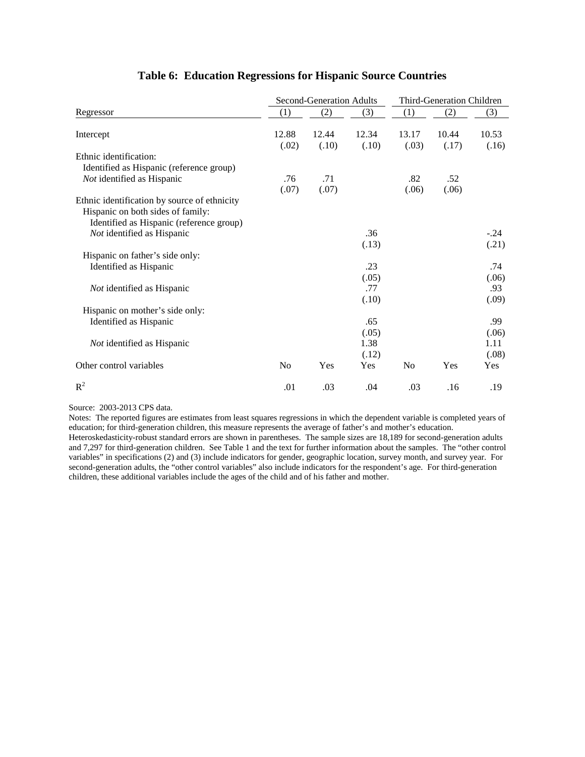|                                                                                                                               |                | <b>Second-Generation Adults</b> |                |                | Third-Generation Children |                |
|-------------------------------------------------------------------------------------------------------------------------------|----------------|---------------------------------|----------------|----------------|---------------------------|----------------|
| Regressor                                                                                                                     | (1)            | (2)                             | (3)            | (1)            | (2)                       | (3)            |
| Intercept                                                                                                                     | 12.88<br>(.02) | 12.44<br>(.10)                  | 12.34<br>(.10) | 13.17<br>(.03) | 10.44<br>(.17)            | 10.53<br>(.16) |
| Ethnic identification:                                                                                                        |                |                                 |                |                |                           |                |
| Identified as Hispanic (reference group)                                                                                      |                |                                 |                |                |                           |                |
| Not identified as Hispanic                                                                                                    | .76<br>(.07)   | .71<br>(.07)                    |                | .82<br>(.06)   | .52<br>(.06)              |                |
| Ethnic identification by source of ethnicity<br>Hispanic on both sides of family:<br>Identified as Hispanic (reference group) |                |                                 |                |                |                           |                |
| Not identified as Hispanic                                                                                                    |                |                                 | .36            |                |                           | $-.24$         |
|                                                                                                                               |                |                                 | (.13)          |                |                           | (.21)          |
| Hispanic on father's side only:                                                                                               |                |                                 |                |                |                           |                |
| Identified as Hispanic                                                                                                        |                |                                 | .23            |                |                           | .74            |
|                                                                                                                               |                |                                 | (.05)          |                |                           | (.06)          |
| <i>Not</i> identified as Hispanic                                                                                             |                |                                 | .77            |                |                           | .93            |
|                                                                                                                               |                |                                 | (.10)          |                |                           | (.09)          |
| Hispanic on mother's side only:                                                                                               |                |                                 |                |                |                           |                |
| Identified as Hispanic                                                                                                        |                |                                 | .65            |                |                           | .99            |
|                                                                                                                               |                |                                 | (.05)          |                |                           | (.06)          |
| Not identified as Hispanic                                                                                                    |                |                                 | 1.38           |                |                           | 1.11           |
|                                                                                                                               |                |                                 | (.12)          |                |                           | (.08)          |
| Other control variables                                                                                                       | N <sub>0</sub> | Yes                             | Yes            | N <sub>o</sub> | Yes                       | Yes            |
| $R^2$                                                                                                                         | .01            | .03                             | .04            | .03            | .16                       | .19            |

## **Table 6: Education Regressions for Hispanic Source Countries**

#### Source: 2003-2013 CPS data.

Notes: The reported figures are estimates from least squares regressions in which the dependent variable is completed years of education; for third-generation children, this measure represents the average of father's and mother's education. Heteroskedasticity-robust standard errors are shown in parentheses. The sample sizes are 18,189 for second-generation adults and 7,297 for third-generation children. See Table 1 and the text for further information about the samples. The "other control variables" in specifications (2) and (3) include indicators for gender, geographic location, survey month, and survey year. For second-generation adults, the "other control variables" also include indicators for the respondent's age. For third-generation children, these additional variables include the ages of the child and of his father and mother.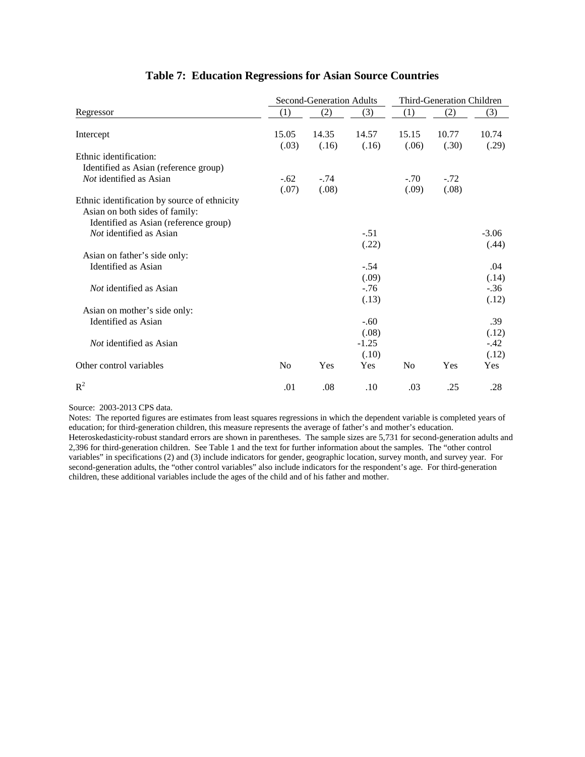|                                                                                                                         |                | <b>Second-Generation Adults</b> |              |                | Third-Generation Children |              |  |
|-------------------------------------------------------------------------------------------------------------------------|----------------|---------------------------------|--------------|----------------|---------------------------|--------------|--|
| Regressor                                                                                                               | (1)            | (2)                             | (3)          | (1)            | (2)                       | (3)          |  |
| Intercept                                                                                                               | 15.05          | 14.35                           | 14.57        | 15.15          | 10.77                     | 10.74        |  |
| Ethnic identification:                                                                                                  | (.03)          | (.16)                           | (.16)        | (.06)          | (.30)                     | (.29)        |  |
| Identified as Asian (reference group)                                                                                   |                |                                 |              |                |                           |              |  |
| <i>Not</i> identified as Asian                                                                                          | $-.62$         | $-.74$                          |              | $-.70$         | $-.72$                    |              |  |
|                                                                                                                         | (.07)          | (.08)                           |              | (.09)          | (.08)                     |              |  |
| Ethnic identification by source of ethnicity<br>Asian on both sides of family:<br>Identified as Asian (reference group) |                |                                 |              |                |                           |              |  |
| Not identified as Asian                                                                                                 |                |                                 | $-.51$       |                |                           | $-3.06$      |  |
|                                                                                                                         |                |                                 | (.22)        |                |                           | (.44)        |  |
| Asian on father's side only:                                                                                            |                |                                 |              |                |                           |              |  |
| Identified as Asian                                                                                                     |                |                                 | $-.54$       |                |                           | .04          |  |
|                                                                                                                         |                |                                 | (.09)        |                |                           | (.14)        |  |
| <i>Not</i> identified as Asian                                                                                          |                |                                 | $-76$        |                |                           | $-.36$       |  |
|                                                                                                                         |                |                                 | (.13)        |                |                           | (.12)        |  |
| Asian on mother's side only:                                                                                            |                |                                 |              |                |                           |              |  |
| Identified as Asian                                                                                                     |                |                                 | $-.60$       |                |                           | .39          |  |
|                                                                                                                         |                |                                 | (.08)        |                |                           | (.12)        |  |
| <i>Not</i> identified as Asian                                                                                          |                |                                 | $-1.25$      |                |                           | $-.42$       |  |
| Other control variables                                                                                                 | N <sub>0</sub> | Yes                             | (.10)<br>Yes | N <sub>0</sub> | Yes                       | (.12)<br>Yes |  |
|                                                                                                                         |                |                                 |              |                |                           |              |  |
| $R^2$                                                                                                                   | .01            | .08                             | .10          | .03            | .25                       | .28          |  |

# **Table 7: Education Regressions for Asian Source Countries**

#### Source: 2003-2013 CPS data.

Notes: The reported figures are estimates from least squares regressions in which the dependent variable is completed years of education; for third-generation children, this measure represents the average of father's and mother's education. Heteroskedasticity-robust standard errors are shown in parentheses. The sample sizes are 5,731 for second-generation adults and 2,396 for third-generation children. See Table 1 and the text for further information about the samples. The "other control variables" in specifications (2) and (3) include indicators for gender, geographic location, survey month, and survey year. For second-generation adults, the "other control variables" also include indicators for the respondent's age. For third-generation children, these additional variables include the ages of the child and of his father and mother.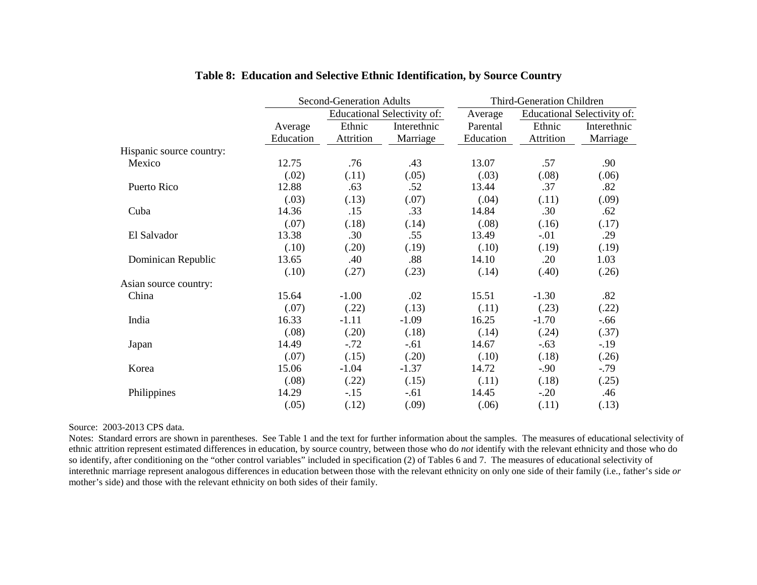|                          |           | <b>Second-Generation Adults</b> |                                    | Third-Generation Children |           |                                    |  |
|--------------------------|-----------|---------------------------------|------------------------------------|---------------------------|-----------|------------------------------------|--|
|                          |           |                                 | <b>Educational Selectivity of:</b> | Average                   |           | <b>Educational Selectivity of:</b> |  |
|                          | Average   | Ethnic                          | Interethnic                        | Parental                  | Ethnic    | Interethnic                        |  |
|                          | Education | Attrition                       | Marriage                           | Education                 | Attrition | Marriage                           |  |
| Hispanic source country: |           |                                 |                                    |                           |           |                                    |  |
| Mexico                   | 12.75     | .76                             | .43                                | 13.07                     | .57       | .90                                |  |
|                          | (.02)     | (.11)                           | (.05)                              | (.03)                     | (.08)     | (.06)                              |  |
| Puerto Rico              | 12.88     | .63                             | .52                                | 13.44                     | .37       | .82                                |  |
|                          | (.03)     | (.13)                           | (.07)                              | (.04)                     | (.11)     | (.09)                              |  |
| Cuba                     | 14.36     | .15                             | .33                                | 14.84                     | .30       | .62                                |  |
|                          | (.07)     | (.18)                           | (.14)                              | (.08)                     | (.16)     | (.17)                              |  |
| El Salvador              | 13.38     | .30                             | .55                                | 13.49                     | $-.01$    | .29                                |  |
|                          | (.10)     | (.20)                           | (.19)                              | (.10)                     | (.19)     | (.19)                              |  |
| Dominican Republic       | 13.65     | .40                             | .88                                | 14.10                     | .20       | 1.03                               |  |
|                          | (.10)     | (.27)                           | (.23)                              | (.14)                     | (.40)     | (.26)                              |  |
| Asian source country:    |           |                                 |                                    |                           |           |                                    |  |
| China                    | 15.64     | $-1.00$                         | .02                                | 15.51                     | $-1.30$   | .82                                |  |
|                          | (.07)     | (.22)                           | (.13)                              | (.11)                     | (.23)     | (.22)                              |  |
| India                    | 16.33     | $-1.11$                         | $-1.09$                            | 16.25                     | $-1.70$   | $-.66$                             |  |
|                          | (.08)     | (.20)                           | (.18)                              | (.14)                     | (.24)     | (.37)                              |  |
| Japan                    | 14.49     | $-0.72$                         | $-.61$                             | 14.67                     | $-.63$    | $-19$                              |  |
|                          | (.07)     | (.15)                           | (.20)                              | (.10)                     | (.18)     | (.26)                              |  |
| Korea                    | 15.06     | $-1.04$                         | $-1.37$                            | 14.72                     | $-.90$    | $-.79$                             |  |
|                          | (.08)     | (.22)                           | (.15)                              | (.11)                     | (.18)     | (.25)                              |  |
| Philippines              | 14.29     | $-.15$                          | $-.61$                             | 14.45                     | $-.20$    | .46                                |  |
|                          | (.05)     | (.12)                           | (.09)                              | (.06)                     | (.11)     | (.13)                              |  |
|                          |           |                                 |                                    |                           |           |                                    |  |

# **Table 8: Education and Selective Ethnic Identification, by Source Country**

#### Source: 2003-2013 CPS data.

Notes: Standard errors are shown in parentheses. See Table 1 and the text for further information about the samples. The measures of educational selectivity of ethnic attrition represent estimated differences in education, by source country, between those who do *not* identify with the relevant ethnicity and those who do so identify, after conditioning on the "other control variables" included in specification (2) of Tables 6 and 7. The measures of educational selectivity of interethnic marriage represent analogous differences in education between those with the relevant ethnicity on only one side of their family (i.e., father's side *or* mother's side) and those with the relevant ethnicity on both sides of their family.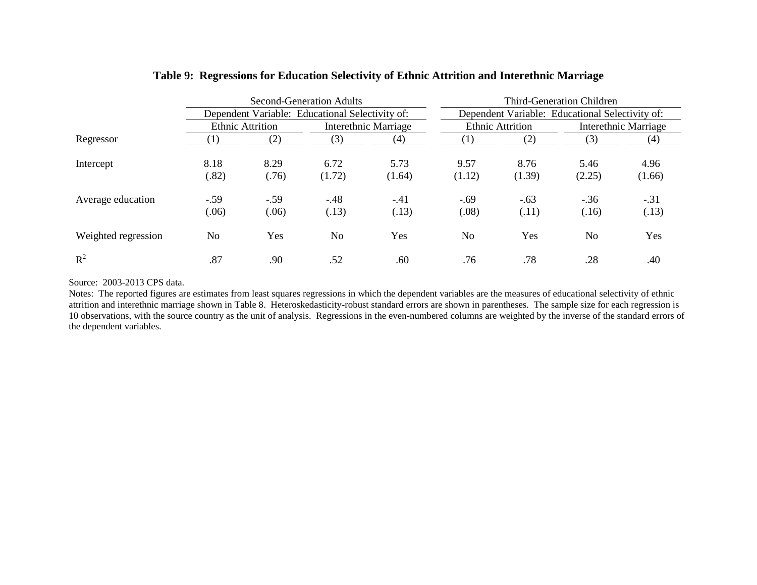|                     |                 |                         | <b>Second-Generation Adults</b>                 |                 | Third-Generation Children<br>Dependent Variable: Educational Selectivity of:<br><b>Ethnic Attrition</b><br><b>Interethnic Marriage</b> |                 |                 |                 |  |  |
|---------------------|-----------------|-------------------------|-------------------------------------------------|-----------------|----------------------------------------------------------------------------------------------------------------------------------------|-----------------|-----------------|-----------------|--|--|
|                     |                 |                         | Dependent Variable: Educational Selectivity of: |                 |                                                                                                                                        |                 |                 |                 |  |  |
|                     |                 | <b>Ethnic Attrition</b> | <b>Interethnic Marriage</b>                     |                 |                                                                                                                                        |                 |                 |                 |  |  |
| Regressor           |                 | (2)                     | (3)                                             | (4)             | $\left(1\right)$                                                                                                                       | (2)             | (3)             | (4)             |  |  |
| Intercept           | 8.18<br>(.82)   | 8.29<br>(.76)           | 6.72<br>(1.72)                                  | 5.73<br>(1.64)  | 9.57<br>(1.12)                                                                                                                         | 8.76<br>(1.39)  | 5.46<br>(2.25)  | 4.96<br>(1.66)  |  |  |
| Average education   | $-.59$<br>(.06) | $-.59$<br>(.06)         | $-48$<br>(.13)                                  | $-.41$<br>(.13) | $-.69$<br>(.08)                                                                                                                        | $-.63$<br>(.11) | $-.36$<br>(.16) | $-.31$<br>(.13) |  |  |
| Weighted regression | N <sub>o</sub>  | Yes                     | N <sub>o</sub>                                  | Yes             | N <sub>o</sub>                                                                                                                         | Yes             | N <sub>o</sub>  | Yes             |  |  |
| $R^2$               | .87             | .90                     | .52                                             | .60             | .76                                                                                                                                    | .78             | .28             | .40             |  |  |

## **Table 9: Regressions for Education Selectivity of Ethnic Attrition and Interethnic Marriage**

Source: 2003-2013 CPS data.

Notes: The reported figures are estimates from least squares regressions in which the dependent variables are the measures of educational selectivity of ethnic attrition and interethnic marriage shown in Table 8. Heteroskedasticity-robust standard errors are shown in parentheses. The sample size for each regression is 10 observations, with the source country as the unit of analysis. Regressions in the even-numbered columns are weighted by the inverse of the standard errors of the dependent variables.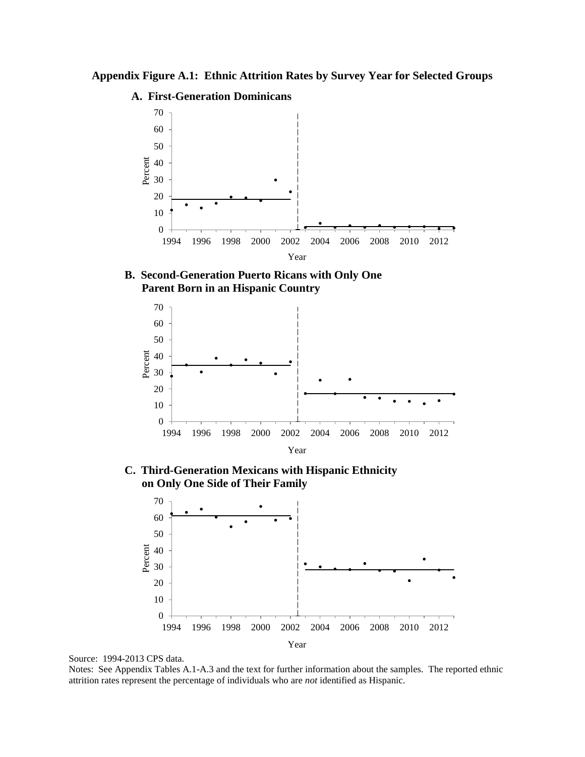

# **A. First-Generation Dominicans**



**B. Second-Generation Puerto Ricans with Only One Parent Born in an Hispanic Country**



**C. Third-Generation Mexicans with Hispanic Ethnicity on Only One Side of Their Family**



Source: 1994-2013 CPS data.

Notes: See Appendix Tables A.1-A.3 and the text for further information about the samples. The reported ethnic attrition rates represent the percentage of individuals who are *not* identified as Hispanic.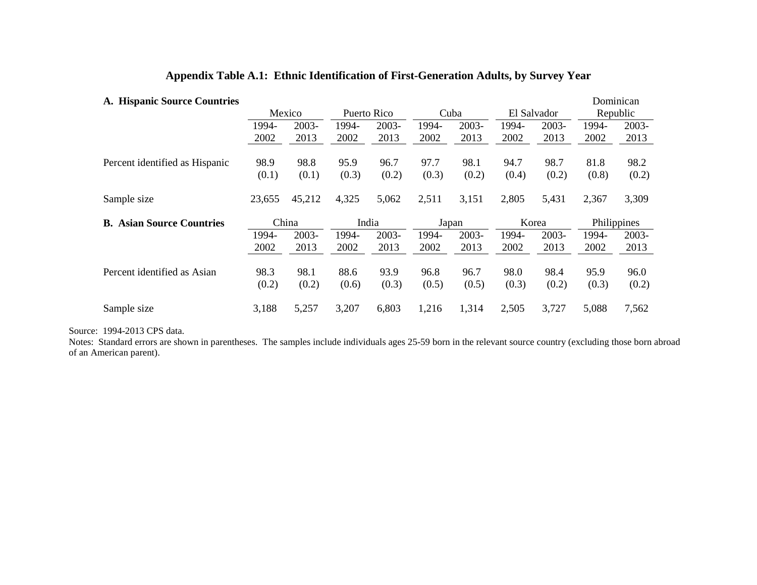| A. Hispanic Source Countries     |               |               |               |               |               |               |               |               | Dominican     |               |
|----------------------------------|---------------|---------------|---------------|---------------|---------------|---------------|---------------|---------------|---------------|---------------|
|                                  | Mexico        |               | Puerto Rico   |               |               | Cuba          | El Salvador   |               | Republic      |               |
|                                  | 1994-         | 2003-         | 1994-         | 2003-         | 1994-         | 2003-         | 1994-         | 2003-         | 1994-         | 2003-         |
|                                  | 2002          | 2013          | 2002          | 2013          | 2002          | 2013          | 2002          | 2013          | 2002          | 2013          |
| Percent identified as Hispanic   | 98.9<br>(0.1) | 98.8<br>(0.1) | 95.9<br>(0.3) | 96.7<br>(0.2) | 97.7<br>(0.3) | 98.1<br>(0.2) | 94.7<br>(0.4) | 98.7<br>(0.2) | 81.8<br>(0.8) | 98.2<br>(0.2) |
| Sample size                      | 23,655        | 45,212        | 4,325         | 5,062         | 2,511         | 3,151         | 2,805         | 5,431         | 2,367         | 3,309         |
| <b>B.</b> Asian Source Countries |               | China         | India         |               | Japan         |               | Korea         |               | Philippines   |               |
|                                  | 1994-         | 2003-         | 1994-         | 2003-         | 1994-         | 2003-         | 1994-         | 2003-         | 1994-         | 2003-         |
|                                  | 2002          | 2013          | 2002          | 2013          | 2002          | 2013          | 2002          | 2013          | 2002          | 2013          |
|                                  |               |               |               |               |               |               |               |               |               |               |
| Percent identified as Asian      | 98.3          | 98.1          | 88.6          | 93.9          | 96.8          | 96.7          | 98.0          | 98.4          | 95.9          | 96.0          |
|                                  | (0.2)         | (0.2)         | (0.6)         | (0.3)         | (0.5)         | (0.5)         | (0.3)         | (0.2)         | (0.3)         | (0.2)         |
| Sample size                      | 3,188         | 5,257         | 3,207         | 6,803         | 1,216         | 1,314         | 2,505         | 3,727         | 5,088         | 7,562         |

# **Appendix Table A.1: Ethnic Identification of First-Generation Adults, by Survey Year**

Source: 1994-2013 CPS data.

Notes: Standard errors are shown in parentheses. The samples include individuals ages 25-59 born in the relevant source country (excluding those born abroad of an American parent).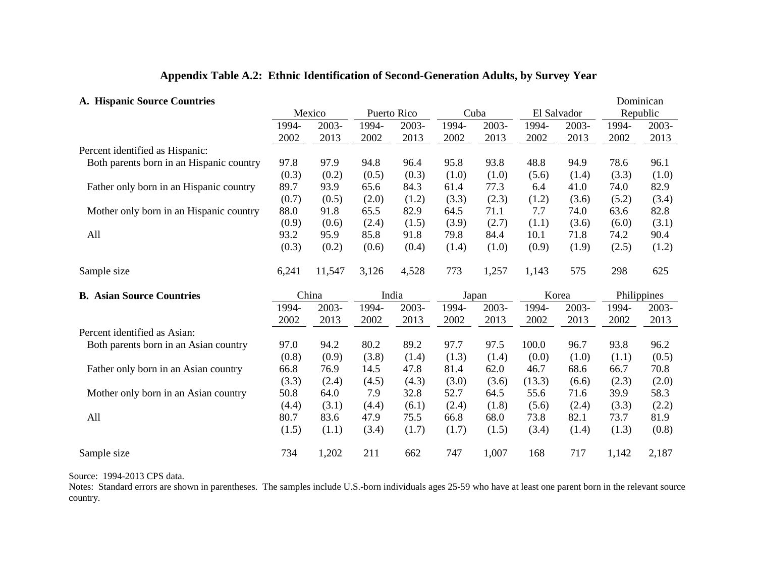| A. Hispanic Source Countries             |       |        |       |             |       |       |        |                                                                                                                                                                                                                                                                                                                                                            |       |       |
|------------------------------------------|-------|--------|-------|-------------|-------|-------|--------|------------------------------------------------------------------------------------------------------------------------------------------------------------------------------------------------------------------------------------------------------------------------------------------------------------------------------------------------------------|-------|-------|
|                                          |       | Mexico |       | Puerto Rico |       | Cuba  |        |                                                                                                                                                                                                                                                                                                                                                            |       |       |
|                                          | 1994- | 2003-  | 1994- | 2003-       | 1994- | 2003- | 1994-  | 2003-                                                                                                                                                                                                                                                                                                                                                      | 1994- | 2003- |
|                                          | 2002  | 2013   | 2002  | 2013        | 2002  | 2013  | 2002   | 2013                                                                                                                                                                                                                                                                                                                                                       | 2002  | 2013  |
| Percent identified as Hispanic:          |       |        |       |             |       |       |        |                                                                                                                                                                                                                                                                                                                                                            |       |       |
| Both parents born in an Hispanic country | 97.8  | 97.9   | 94.8  | 96.4        | 95.8  | 93.8  | 48.8   | 94.9                                                                                                                                                                                                                                                                                                                                                       | 78.6  | 96.1  |
|                                          | (0.3) | (0.2)  | (0.5) | (0.3)       | (1.0) | (1.0) | (5.6)  | (1.4)                                                                                                                                                                                                                                                                                                                                                      | (3.3) | (1.0) |
| Father only born in an Hispanic country  | 89.7  | 93.9   | 65.6  | 84.3        | 61.4  | 77.3  | 6.4    | Dominican<br>El Salvador<br>Republic<br>41.0<br>74.0<br>(5.2)<br>(3.6)<br>74.0<br>63.6<br>(3.6)<br>(6.0)<br>71.8<br>74.2<br>(1.9)<br>(2.5)<br>575<br>298<br>Korea<br>Philippines<br>2003-<br>1994-<br>2013<br>2002<br>93.8<br>96.7<br>(1.0)<br>(1.1)<br>68.6<br>66.7<br>(2.3)<br>(6.6)<br>39.9<br>71.6<br>(3.3)<br>(2.4)<br>82.1<br>73.7<br>(1.4)<br>(1.3) | 82.9  |       |
|                                          | (0.7) | (0.5)  | (2.0) | (1.2)       | (3.3) | (2.3) | (1.2)  |                                                                                                                                                                                                                                                                                                                                                            | (3.4) |       |
| Mother only born in an Hispanic country  | 88.0  | 91.8   | 65.5  | 82.9        | 64.5  | 71.1  | 7.7    |                                                                                                                                                                                                                                                                                                                                                            |       | 82.8  |
|                                          | (0.9) | (0.6)  | (2.4) | (1.5)       | (3.9) | (2.7) | (1.1)  |                                                                                                                                                                                                                                                                                                                                                            |       | (3.1) |
| All                                      | 93.2  | 95.9   | 85.8  | 91.8        | 79.8  | 84.4  | 10.1   |                                                                                                                                                                                                                                                                                                                                                            |       | 90.4  |
|                                          | (0.3) | (0.2)  | (0.6) | (0.4)       | (1.4) | (1.0) | (0.9)  |                                                                                                                                                                                                                                                                                                                                                            |       | (1.2) |
| Sample size                              | 6,241 | 11,547 | 3,126 | 4,528       | 773   | 1,257 | 1,143  |                                                                                                                                                                                                                                                                                                                                                            |       | 625   |
| <b>B.</b> Asian Source Countries         |       | China  |       | India       |       | Japan |        |                                                                                                                                                                                                                                                                                                                                                            |       |       |
|                                          | 1994- | 2003-  | 1994- | 2003-       | 1994- | 2003- | 1994-  |                                                                                                                                                                                                                                                                                                                                                            |       | 2003- |
|                                          | 2002  | 2013   | 2002  | 2013        | 2002  | 2013  | 2002   |                                                                                                                                                                                                                                                                                                                                                            |       | 2013  |
| Percent identified as Asian:             |       |        |       |             |       |       |        |                                                                                                                                                                                                                                                                                                                                                            |       |       |
| Both parents born in an Asian country    | 97.0  | 94.2   | 80.2  | 89.2        | 97.7  | 97.5  | 100.0  |                                                                                                                                                                                                                                                                                                                                                            |       | 96.2  |
|                                          | (0.8) | (0.9)  | (3.8) | (1.4)       | (1.3) | (1.4) | (0.0)  |                                                                                                                                                                                                                                                                                                                                                            |       | (0.5) |
| Father only born in an Asian country     | 66.8  | 76.9   | 14.5  | 47.8        | 81.4  | 62.0  | 46.7   |                                                                                                                                                                                                                                                                                                                                                            |       | 70.8  |
|                                          | (3.3) | (2.4)  | (4.5) | (4.3)       | (3.0) | (3.6) | (13.3) |                                                                                                                                                                                                                                                                                                                                                            |       | (2.0) |
| Mother only born in an Asian country     | 50.8  | 64.0   | 7.9   | 32.8        | 52.7  | 64.5  | 55.6   |                                                                                                                                                                                                                                                                                                                                                            |       | 58.3  |
|                                          | (4.4) | (3.1)  | (4.4) | (6.1)       | (2.4) | (1.8) | (5.6)  |                                                                                                                                                                                                                                                                                                                                                            |       | (2.2) |
| All                                      | 80.7  | 83.6   | 47.9  | 75.5        | 66.8  | 68.0  | 73.8   |                                                                                                                                                                                                                                                                                                                                                            |       | 81.9  |
|                                          | (1.5) | (1.1)  | (3.4) | (1.7)       | (1.7) | (1.5) | (3.4)  |                                                                                                                                                                                                                                                                                                                                                            |       | (0.8) |
| Sample size                              | 734   | 1,202  | 211   | 662         | 747   | 1,007 | 168    | 717                                                                                                                                                                                                                                                                                                                                                        | 1,142 | 2,187 |

# **Appendix Table A.2: Ethnic Identification of Second-Generation Adults, by Survey Year**

Source: 1994-2013 CPS data.

Notes: Standard errors are shown in parentheses. The samples include U.S.-born individuals ages 25-59 who have at least one parent born in the relevant source country.